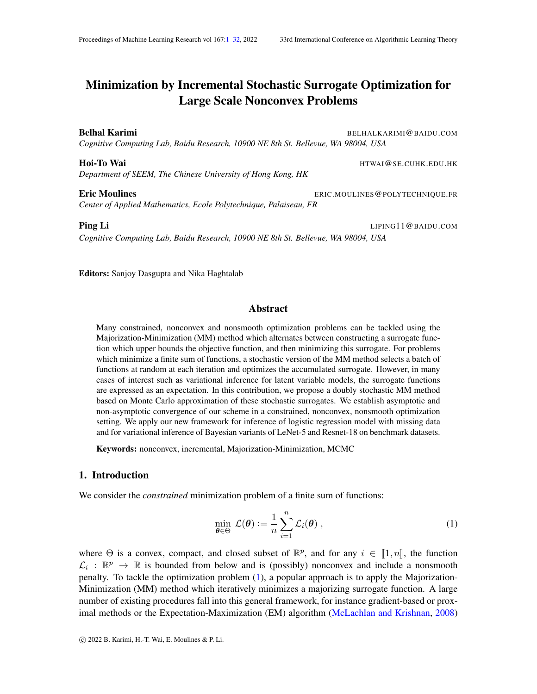*Department of SEEM, The Chinese University of Hong Kong, HK*

Eric Moulines ERIC.MOULINES@POLYTECHNIQUE.FR *Center of Applied Mathematics, Ecole Polytechnique, Palaiseau, FR*

Ping Li LIPING11@BAIDU.COM *Cognitive Computing Lab, Baidu Research, 10900 NE 8th St. Bellevue, WA 98004, USA*

Editors: Sanjoy Dasgupta and Nika Haghtalab

# Abstract

Many constrained, nonconvex and nonsmooth optimization problems can be tackled using the Majorization-Minimization (MM) method which alternates between constructing a surrogate function which upper bounds the objective function, and then minimizing this surrogate. For problems which minimize a finite sum of functions, a stochastic version of the MM method selects a batch of functions at random at each iteration and optimizes the accumulated surrogate. However, in many cases of interest such as variational inference for latent variable models, the surrogate functions are expressed as an expectation. In this contribution, we propose a doubly stochastic MM method based on Monte Carlo approximation of these stochastic surrogates. We establish asymptotic and non-asymptotic convergence of our scheme in a constrained, nonconvex, nonsmooth optimization setting. We apply our new framework for inference of logistic regression model with missing data and for variational inference of Bayesian variants of LeNet-5 and Resnet-18 on benchmark datasets.

Keywords: nonconvex, incremental, Majorization-Minimization, MCMC

# 1. Introduction

We consider the *constrained* minimization problem of a finite sum of functions:

<span id="page-0-1"></span>
$$
\min_{\boldsymbol{\theta} \in \Theta} \mathcal{L}(\boldsymbol{\theta}) := \frac{1}{n} \sum_{i=1}^{n} \mathcal{L}_i(\boldsymbol{\theta}), \qquad (1)
$$

where  $\Theta$  is a convex, compact, and closed subset of  $\mathbb{R}^p$ , and for any  $i \in [1, n]$ , the function  $\mathcal{C}$  is  $\mathbb{R}^p$  is bounded from below and is (possibly) personnect and include a personnect  $\mathcal{L}_i : \mathbb{R}^p \to \mathbb{R}$  is bounded from below and is (possibly) nonconvex and include a nonsmooth penalty. To tackle the optimization problem [\(1\)](#page-0-1), a popular approach is to apply the Majorization-Minimization (MM) method which iteratively minimizes a majorizing surrogate function. A large number of existing procedures fall into this general framework, for instance gradient-based or proximal methods or the Expectation-Maximization (EM) algorithm [\(McLachlan and Krishnan,](#page-14-0) [2008\)](#page-14-0)

<span id="page-0-0"></span>Minimization by Incremental Stochastic Surrogate Optimization for Large Scale Nonconvex Problems

**Belhal Karimi** BELHALKARIMI@BAIDU.COM *Cognitive Computing Lab, Baidu Research, 10900 NE 8th St. Bellevue, WA 98004, USA*

Hoi-To Wai **Holland Allie Home Account Account Account** HTWAI@SE.CUHK.EDU.HK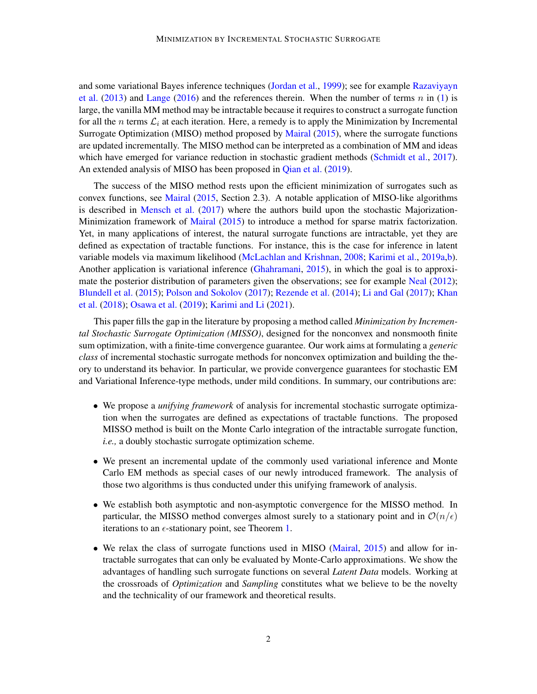and some variational Bayes inference techniques [\(Jordan et al.,](#page-13-0) [1999\)](#page-13-0); see for example [Razaviyayn](#page-14-1) [et al.](#page-14-1)  $(2013)$  and [Lange](#page-13-1)  $(2016)$  and the references therein. When the number of terms n in  $(1)$  is large, the vanilla MM method may be intractable because it requires to construct a surrogate function for all the n terms  $\mathcal{L}_i$  at each iteration. Here, a remedy is to apply the Minimization by Incremental Surrogate Optimization (MISO) method proposed by [Mairal](#page-14-2) [\(2015\)](#page-14-2), where the surrogate functions are updated incrementally. The MISO method can be interpreted as a combination of MM and ideas which have emerged for variance reduction in stochastic gradient methods [\(Schmidt et al.,](#page-14-3) [2017\)](#page-14-3). An extended analysis of MISO has been proposed in [Qian et al.](#page-14-4) [\(2019\)](#page-14-4).

The success of the MISO method rests upon the efficient minimization of surrogates such as convex functions, see [Mairal](#page-14-2) [\(2015,](#page-14-2) Section 2.3). A notable application of MISO-like algorithms is described in [Mensch et al.](#page-14-5)  $(2017)$  where the authors build upon the stochastic Majorization-Minimization framework of [Mairal](#page-14-2) [\(2015\)](#page-14-2) to introduce a method for sparse matrix factorization. Yet, in many applications of interest, the natural surrogate functions are intractable, yet they are defined as expectation of tractable functions. For instance, this is the case for inference in latent variable models via maximum likelihood [\(McLachlan and Krishnan,](#page-14-0) [2008;](#page-14-0) [Karimi et al.,](#page-13-2) [2019a](#page-13-2)[,b\)](#page-13-3). Another application is variational inference [\(Ghahramani,](#page-13-4) [2015\)](#page-13-4), in which the goal is to approxi-mate the posterior distribution of parameters given the observations; see for example [Neal](#page-14-6) [\(2012\)](#page-14-6); [Blundell et al.](#page-12-0) [\(2015\)](#page-12-0); [Polson and Sokolov](#page-14-7) [\(2017\)](#page-14-7); [Rezende et al.](#page-14-8) [\(2014\)](#page-14-8); [Li and Gal](#page-13-5) [\(2017\)](#page-13-5); [Khan](#page-13-6) [et al.](#page-13-6) [\(2018\)](#page-13-6); [Osawa et al.](#page-14-9) [\(2019\)](#page-14-9); [Karimi and Li](#page-13-7) [\(2021\)](#page-13-7).

This paper fills the gap in the literature by proposing a method called *Minimization by Incremental Stochastic Surrogate Optimization (MISSO)*, designed for the nonconvex and nonsmooth finite sum optimization, with a finite-time convergence guarantee. Our work aims at formulating a *generic class* of incremental stochastic surrogate methods for nonconvex optimization and building the theory to understand its behavior. In particular, we provide convergence guarantees for stochastic EM and Variational Inference-type methods, under mild conditions. In summary, our contributions are:

- We propose a *unifying framework* of analysis for incremental stochastic surrogate optimization when the surrogates are defined as expectations of tractable functions. The proposed MISSO method is built on the Monte Carlo integration of the intractable surrogate function, *i.e.,* a doubly stochastic surrogate optimization scheme.
- We present an incremental update of the commonly used variational inference and Monte Carlo EM methods as special cases of our newly introduced framework. The analysis of those two algorithms is thus conducted under this unifying framework of analysis.
- We establish both asymptotic and non-asymptotic convergence for the MISSO method. In particular, the MISSO method converges almost surely to a stationary point and in  $\mathcal{O}(n/\epsilon)$ iterations to an  $\epsilon$ -stationary point, see Theorem [1.](#page-7-0)
- We relax the class of surrogate functions used in MISO [\(Mairal,](#page-14-2) [2015\)](#page-14-2) and allow for intractable surrogates that can only be evaluated by Monte-Carlo approximations. We show the advantages of handling such surrogate functions on several *Latent Data* models. Working at the crossroads of *Optimization* and *Sampling* constitutes what we believe to be the novelty and the technicality of our framework and theoretical results.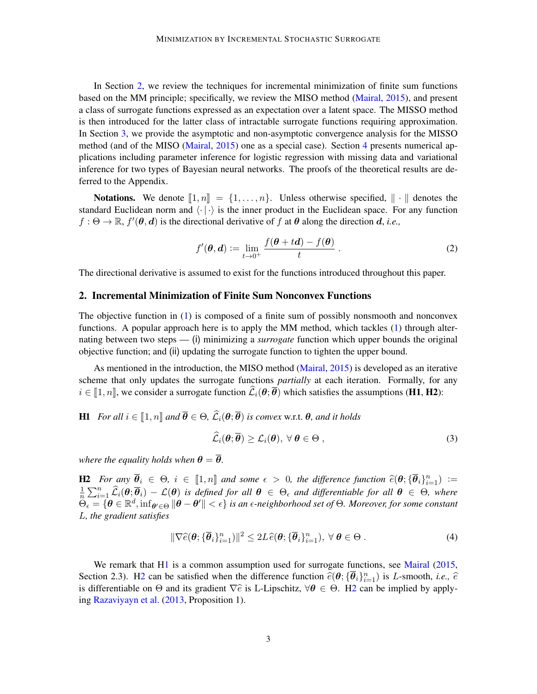In Section [2,](#page-2-0) we review the techniques for incremental minimization of finite sum functions based on the MM principle; specifically, we review the MISO method [\(Mairal,](#page-14-2) [2015\)](#page-14-2), and present a class of surrogate functions expressed as an expectation over a latent space. The MISSO method is then introduced for the latter class of intractable surrogate functions requiring approximation. In Section [3,](#page-6-0) we provide the asymptotic and non-asymptotic convergence analysis for the MISSO method (and of the MISO [\(Mairal,](#page-14-2) [2015\)](#page-14-2) one as a special case). Section [4](#page-9-0) presents numerical applications including parameter inference for logistic regression with missing data and variational inference for two types of Bayesian neural networks. The proofs of the theoretical results are deferred to the Appendix.

**Notations.** We denote  $[1, n] = \{1, \ldots, n\}$ . Unless otherwise specified,  $\|\cdot\|$  denotes the standard Euclidean norm and  $\langle \cdot | \cdot \rangle$  is the inner product in the Euclidean space. For any function  $f: \Theta \to \mathbb{R}$ ,  $f'(\theta, d)$  is the directional derivative of f at  $\theta$  along the direction d, *i.e.*,

$$
f'(\boldsymbol{\theta}, \boldsymbol{d}) := \lim_{t \to 0^+} \frac{f(\boldsymbol{\theta} + t\boldsymbol{d}) - f(\boldsymbol{\theta})}{t} \,. \tag{2}
$$

The directional derivative is assumed to exist for the functions introduced throughout this paper.

#### <span id="page-2-0"></span>2. Incremental Minimization of Finite Sum Nonconvex Functions

The objective function in [\(1\)](#page-0-1) is composed of a finite sum of possibly nonsmooth and nonconvex functions. A popular approach here is to apply the MM method, which tackles [\(1\)](#page-0-1) through alternating between two steps — (i) minimizing a *surrogate* function which upper bounds the original objective function; and (ii) updating the surrogate function to tighten the upper bound.

As mentioned in the introduction, the MISO method [\(Mairal,](#page-14-2) [2015\)](#page-14-2) is developed as an iterative scheme that only updates the surrogate functions *partially* at each iteration. Formally, for any  $i \in [1, n]$ , we consider a surrogate function  $\widehat{\mathcal{L}}_i(\theta; \overline{\theta})$  which satisfies the assumptions (H1, H2):

**H1** *For all*  $i \in [1, n]$  *and*  $\overline{\theta} \in \Theta$ *,*  $\widehat{\mathcal{L}}_i(\theta; \overline{\theta})$  *is convex* w.r.t.  $\theta$ *, and it holds* 

<span id="page-2-3"></span><span id="page-2-1"></span>
$$
\mathcal{L}_i(\boldsymbol{\theta};\overline{\boldsymbol{\theta}}) \geq \mathcal{L}_i(\boldsymbol{\theta}), \ \forall \ \boldsymbol{\theta} \in \Theta \ , \tag{3}
$$

<span id="page-2-2"></span>*where the equality holds when*  $\theta = \overline{\theta}$ *.* 

H2 *For any*  $\overline{\theta}_i$  ∈ Θ,  $i$  ∈ [1, *n*] and some  $\epsilon > 0$ , the difference function  $\hat{e}(\theta; {\overline{\theta}_i}_{i=1}^n) :=$ <br>1  $\sum_{i=1}^n \hat{e}_i(\theta; \overline{\theta}_i)$  =  $e(\theta)$  : 1  $e_i$  =  $e_i$  =  $e_i$  =  $e_i$  =  $e_i$  =  $e_i$  =  $e_i$  =  $e_i$  =  $e_i$  = 1  $\frac{1}{n}\sum_{i=1}^n\widehat{\mathcal{L}}_i(\theta;\overline{\theta}_i)-\mathcal{L}(\theta)$  *is defined for all*  $\theta \in \Theta_\epsilon$  *and differentiable for all*  $\theta \in \Theta$ *, where*  $\hat{\Theta}_\epsilon = \{\hat{\boldsymbol{\theta}} \in \mathbb{R}^d, \inf_{\boldsymbol{\theta}' \in \Theta} \|\boldsymbol{\theta} - \boldsymbol{\theta}'\| < \epsilon\}$  is an  $\epsilon$ -neighborhood set of  $\Theta$ . Moreover, for some constant L*, the gradient satisfies*

$$
\|\nabla \widehat{e}(\boldsymbol{\theta}; \{\overline{\boldsymbol{\theta}}_i\}_{i=1}^n)\|^2 \le 2L\widehat{e}(\boldsymbol{\theta}; \{\overline{\boldsymbol{\theta}}_i\}_{i=1}^n), \ \forall \ \boldsymbol{\theta} \in \Theta .
$$
 (4)

We remark that [H1](#page-2-1) is a common assumption used for surrogate functions, see [Mairal](#page-14-2) [\(2015,](#page-14-2) Section 2.3). [H2](#page-2-2) can be satisfied when the difference function  $\hat{e}(\theta; {\{\overline{\theta}_i\}}_{i=1}^n)$  is L-smooth, *i.e.*,  $\hat{e}$ <br>is differentiable on  $\Theta$  and its gradient  $\nabla \hat{e}$  is L Unschitz  $\nabla \Theta \subseteq \Theta$ . H2 can be implied b is differentiable on  $\Theta$  and its gradient  $\nabla \hat{e}$  is L-Lipschitz,  $\forall \theta \in \Theta$ . [H2](#page-2-2) can be implied by applying [Razaviyayn et al.](#page-14-1) [\(2013,](#page-14-1) Proposition 1).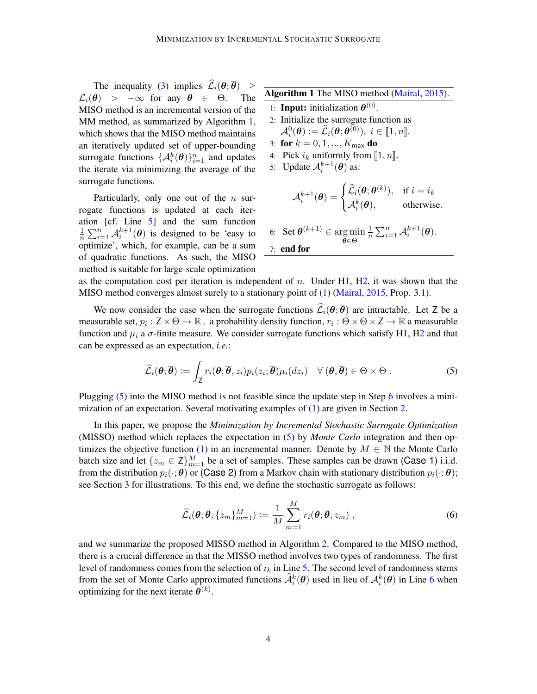The inequality [\(3\)](#page-2-3) implies  $\hat{\mathcal{L}}_i(\theta; \overline{\theta}) \ge \theta$  >  $-\infty$  for any  $\theta \in \Theta$ . The  $\mathcal{L}_i(\theta) > -\infty$  for any  $\theta \in \Theta$ . MISO method is an incremental version of the MM method, as summarized by Algorithm [1,](#page-3-0) which shows that the MISO method maintains an iteratively updated set of upper-bounding surrogate functions  $\{\mathcal{A}_i^k(\theta)\}_{i=1}^n$  and updates the iterate via minimizing the average of the surrogate functions.

Particularly, only one out of the  $n$  surrogate functions is updated at each iteration [cf. Line [5\]](#page-3-1) and the sum function 1  $\frac{1}{n} \sum_{i=1}^{n} \mathcal{A}_i^{k+1}(\theta)$  is designed to be 'easy to optimize', which, for example, can be a sum of quadratic functions. As such, the MISO method is suitable for large-scale optimization <span id="page-3-0"></span>Algorithm 1 The MISO method [\(Mairal,](#page-14-2) [2015\)](#page-14-2).

- 1: **Input:** initialization  $\boldsymbol{\theta}^{(0)}$ .
- 2: Initialize the surrogate function as  $\mathcal{A}_i^0(\boldsymbol{\theta}) \coloneqq \widehat{\mathcal{L}}_i(\boldsymbol{\theta}; \boldsymbol{\theta}^{(0)}), \ i \in [\![1,n]\!].$  for  $k = 0, 1, K$  do
- 3: for  $k = 0, 1, ..., K_{\text{max}}$  do
- 4: Pick  $i_k$  uniformly from  $\llbracket 1, n \rrbracket$ .
- 5: Update  $\mathcal{A}_i^{k+1}(\boldsymbol{\theta})$  as:

<span id="page-3-2"></span><span id="page-3-1"></span>
$$
\mathcal{A}_i^{k+1}(\boldsymbol{\theta}) = \begin{cases} \widehat{\mathcal{L}}_i(\boldsymbol{\theta};\boldsymbol{\theta}^{(k)}), & \text{if } i = i_k \\ \mathcal{A}_i^k(\boldsymbol{\theta}), & \text{otherwise.} \end{cases}
$$

<span id="page-3-3"></span>6: Set  $\boldsymbol{\theta}^{(k+1)} \in \argmin$ θ∈Θ 1  $\frac{1}{n}\sum_{i=1}^n \mathcal{A}_i^{k+1}(\boldsymbol{\theta}).$ 7: end for

as the computation cost per iteration is independent of n. Under  $H1$ ,  $H2$ , it was shown that the MISO method converges almost surely to a stationary point of [\(1\)](#page-0-1) [\(Mairal,](#page-14-2) [2015,](#page-14-2) Prop. 3.1).

We now consider the case when the surrogate functions  $\hat{\mathcal{L}}_i(\theta; \overline{\theta})$  are intractable. Let Z be a measurable set,  $p_i: Z \times \Theta \to \mathbb{R}_+$  a probability density function,  $r_i: \Theta \times \Theta \times Z \to \mathbb{R}$  a measurable function and  $\mu_i$  a  $\sigma$ -finite measure. We consider surrogate functions which satisfy [H1,](#page-2-1) [H2](#page-2-2) and that can be expressed as an expectation, *i.e.*:

$$
\widehat{\mathcal{L}}_i(\boldsymbol{\theta};\overline{\boldsymbol{\theta}}) := \int_{\mathsf{Z}} r_i(\boldsymbol{\theta};\overline{\boldsymbol{\theta}},z_i) p_i(z_i;\overline{\boldsymbol{\theta}}) \mu_i(dz_i) \quad \forall (\boldsymbol{\theta},\overline{\boldsymbol{\theta}}) \in \Theta \times \Theta . \tag{5}
$$

Plugging [\(5\)](#page-3-2) into the MISO method is not feasible since the update step in Step [6](#page-3-3) involves a minimization of an expectation. Several motivating examples of [\(1\)](#page-0-1) are given in Section [2.](#page-2-0)

In this paper, we propose the *Minimization by Incremental Stochastic Surrogate Optimization* (MISSO) method which replaces the expectation in [\(5\)](#page-3-2) by *Monte Carlo* integration and then op-timizes the objective function [\(1\)](#page-0-1) in an incremental manner. Denote by  $M \in \mathbb{N}$  the Monte Carlo batch size and let  $\{z_m \in \mathbb{Z}\}_{m=1}^M$  be a set of samples. These samples can be drawn (Case 1) i.i.d. from the distribution  $p_i(\cdot; \overline{\theta})$  or (Case 2) from a Markov chain with stationary distribution  $p_i(\cdot; \overline{\theta})$ ; see Section [3](#page-6-0) for illustrations. To this end, we define the stochastic surrogate as follows:

<span id="page-3-4"></span>
$$
\widetilde{\mathcal{L}}_i(\boldsymbol{\theta}; \overline{\boldsymbol{\theta}}, \{z_m\}_{m=1}^M) := \frac{1}{M} \sum_{m=1}^M r_i(\boldsymbol{\theta}; \overline{\boldsymbol{\theta}}, z_m) ,
$$
\n(6)

and we summarize the proposed MISSO method in Algorithm [2.](#page-4-0) Compared to the MISO method, there is a crucial difference in that the MISSO method involves two types of randomness. The first level of randomness comes from the selection of  $i_k$  in Line [5.](#page-4-1) The second level of randomness stems from the set of Monte Carlo approximated functions  $\widetilde{\mathcal{A}}_i^k(\theta)$  used in lieu of  $\mathcal{A}_i^k(\theta)$  in Line [6](#page-4-2) when optimizing for the next iterate  $\boldsymbol{\theta}^{(k)}$ .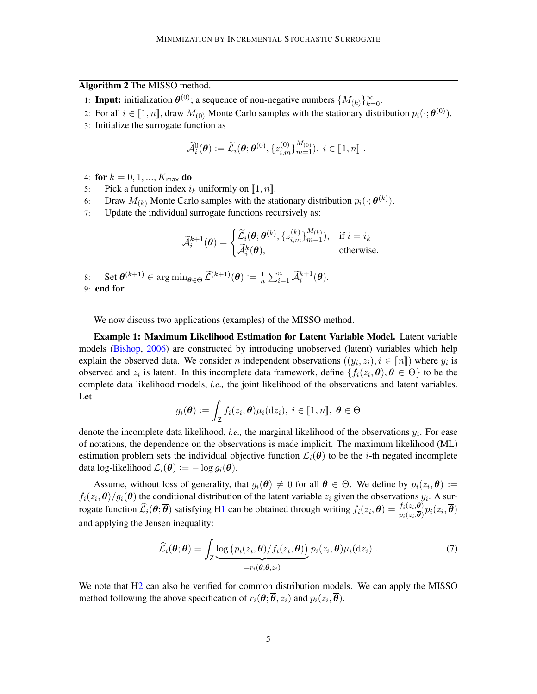### <span id="page-4-0"></span>Algorithm 2 The MISSO method.

- 1: **Input:** initialization  $\theta^{(0)}$ ; a sequence of non-negative numbers  $\{M_{(k)}\}_{k=0}^{\infty}$ .
- 2: For all  $i \in [\![1,n]\!]$ , draw  $M_{(0)}$  Monte Carlo samples with the stationary distribution  $p_i(\cdot;\boldsymbol{\theta}^{(0)})$ .
- 3: Initialize the surrogate function as

<span id="page-4-3"></span><span id="page-4-2"></span>
$$
\widetilde{\mathcal{A}}_i^0(\boldsymbol{\theta}) := \widetilde{\mathcal{L}}_i(\boldsymbol{\theta};\boldsymbol{\theta}^{(0)}, \{z_{i,m}^{(0)}\}_{m=1}^{M_{(0)}}), i \in [\![1,n]\!]
$$

- 4: for  $k = 0, 1, ..., K_{\text{max}}$  do
- <span id="page-4-1"></span>5: Pick a function index  $i_k$  uniformly on [1, n].<br>6: Draw  $M_{(k)}$  Monte Carlo samples with the sta
- 6: Draw  $M_{(k)}$  Monte Carlo samples with the stationary distribution  $p_i(\cdot; \boldsymbol{\theta}^{(k)})$ .
- 7: Update the individual surrogate functions recursively as:

$$
\widetilde{\mathcal{A}}^{k+1}_i(\boldsymbol{\theta}) = \begin{cases} \widetilde{\mathcal{L}}_i(\boldsymbol{\theta};\boldsymbol{\theta}^{(k)},\{z_{i,m}^{(k)}\}_{m=1}^{M_{(k)}}), & \text{if } i = i_k \\ \widetilde{\mathcal{A}}^k_i(\boldsymbol{\theta}), & \text{otherwise.} \end{cases}
$$

8: Set  $\theta^{(k+1)} \in \arg \min_{\theta \in \Theta} \widetilde{\mathcal{L}}^{(k+1)}(\theta) \coloneqq \frac{1}{n}$  $\frac{1}{n}\sum_{i=1}^n \widetilde{\mathcal{A}}_i^{k+1}(\boldsymbol{\theta}).$ 9: end for

We now discuss two applications (examples) of the MISSO method.

Example 1: Maximum Likelihood Estimation for Latent Variable Model. Latent variable models [\(Bishop,](#page-12-1) [2006\)](#page-12-1) are constructed by introducing unobserved (latent) variables which help explain the observed data. We consider n independent observations  $((y_i, z_i), i \in [\![n]\!])$  where  $y_i$  is<br>observed and  $\kappa$  is latent. In this incomplete data framework, dating  $[(x, \theta), \theta \in \Theta]$  to be the observed and  $z_i$  is latent. In this incomplete data framework, define  $\{f_i(z_i, \theta), \theta \in \Theta\}$  to be the complete data likelihood models, *i.e.,* the joint likelihood of the observations and latent variables. Let

$$
g_i(\boldsymbol{\theta}) := \int_{\mathsf{Z}} f_i(z_i, \boldsymbol{\theta}) \mu_i(\mathrm{d}z_i), \ i \in [\![1,n]\!], \ \boldsymbol{\theta} \in \Theta
$$

denote the incomplete data likelihood, *i.e.,* the marginal likelihood of the observations y<sup>i</sup> . For ease of notations, the dependence on the observations is made implicit. The maximum likelihood (ML) estimation problem sets the individual objective function  $\mathcal{L}_i(\theta)$  to be the *i*-th negated incomplete data log-likelihood  $\mathcal{L}_i(\boldsymbol{\theta}) := -\log q_i(\boldsymbol{\theta}).$ 

Assume, without loss of generality, that  $g_i(\theta) \neq 0$  for all  $\theta \in \Theta$ . We define by  $p_i(z_i, \theta) :=$  $f_i(z_i, \theta)/g_i(\theta)$  the conditional distribution of the latent variable  $z_i$  given the observations  $y_i$ . A surrogate function  $\widehat{\mathcal{L}}_i(\theta; \overline{\theta})$  satisfying [H1](#page-2-1) can be obtained through writing  $f_i(z_i, \theta) = \frac{f_i(z_i, \theta)}{p_i(z_i, \overline{\theta})} p_i(z_i, \overline{\theta})$ and applying the Jensen inequality:

$$
\widehat{\mathcal{L}}_i(\boldsymbol{\theta};\overline{\boldsymbol{\theta}})=\int_{\mathsf{Z}}\underbrace{\log\left(p_i(z_i,\overline{\boldsymbol{\theta}})/f_i(z_i,\boldsymbol{\theta})\right)}_{=r_i(\boldsymbol{\theta};\overline{\boldsymbol{\theta}},z_i)}p_i(z_i,\overline{\boldsymbol{\theta}})\mu_i(\mathrm{d}z_i)\ .
$$
\n(7)

We note that H<sub>2</sub> can also be verified for common distribution models. We can apply the MISSO method following the above specification of  $r_i(\theta; \theta, z_i)$  and  $p_i(z_i, \theta)$ .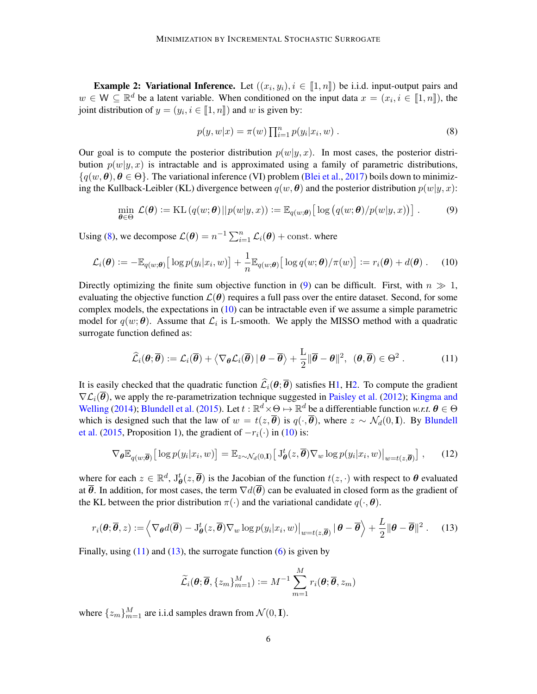**Example 2: Variational Inference.** Let  $((x_i, y_i), i \in [1, n])$  be i.i.d. input-output pairs and  $M \subset \mathbb{R}^d$  be a letopt variable. When conditioned on the input data  $x = (x_i, i \in [1, n])$  the  $w \in \mathsf{W} \subseteq \mathbb{R}^d$  be a latent variable. When conditioned on the input data  $x = (x_i, i \in [1, n])$ , the injuridictibution of  $y = (x_i, i \in [1, n])$  and  $y$  is given by: joint distribution of  $y = (y_i, i \in [\![1, n]\!])$  and w is given by:

<span id="page-5-0"></span>
$$
p(y, w|x) = \pi(w) \prod_{i=1}^{n} p(y_i|x_i, w).
$$
 (8)

Our goal is to compute the posterior distribution  $p(w|y, x)$ . In most cases, the posterior distribution  $p(w|y, x)$  is intractable and is approximated using a family of parametric distributions,  $\{q(w, \theta), \theta \in \Theta\}$ . The variational inference (VI) problem [\(Blei et al.,](#page-12-2) [2017\)](#page-12-2) boils down to minimizing the Kullback-Leibler (KL) divergence between  $q(w, \theta)$  and the posterior distribution  $p(w|y, x)$ :

<span id="page-5-1"></span>
$$
\min_{\boldsymbol{\theta} \in \Theta} \mathcal{L}(\boldsymbol{\theta}) := \mathrm{KL}\left(q(w; \boldsymbol{\theta}) || p(w | y, x)\right) := \mathbb{E}_{q(w; \boldsymbol{\theta})} \big[ \log \big(q(w; \boldsymbol{\theta}) / p(w | y, x)\big) \big]. \tag{9}
$$

Using [\(8\)](#page-5-0), we decompose  $\mathcal{L}(\theta) = n^{-1} \sum_{i=1}^{n} \mathcal{L}_i(\theta) + \text{const.}$  where

<span id="page-5-2"></span>
$$
\mathcal{L}_i(\boldsymbol{\theta}) := -\mathbb{E}_{q(w;\boldsymbol{\theta})} \big[ \log p(y_i|x_i, w) \big] + \frac{1}{n} \mathbb{E}_{q(w;\boldsymbol{\theta})} \big[ \log q(w;\boldsymbol{\theta}) / \pi(w) \big] := r_i(\boldsymbol{\theta}) + d(\boldsymbol{\theta}) \ . \tag{10}
$$

Directly optimizing the finite sum objective function in [\(9\)](#page-5-1) can be difficult. First, with  $n \gg 1$ , evaluating the objective function  $\mathcal{L}(\theta)$  requires a full pass over the entire dataset. Second, for some complex models, the expectations in [\(10\)](#page-5-2) can be intractable even if we assume a simple parametric model for  $q(w; \theta)$ . Assume that  $\mathcal{L}_i$  is L-smooth. We apply the MISSO method with a quadratic surrogate function defined as:

<span id="page-5-3"></span>
$$
\widehat{\mathcal{L}}_i(\boldsymbol{\theta};\overline{\boldsymbol{\theta}}):=\mathcal{L}_i(\overline{\boldsymbol{\theta}})+\left\langle\nabla_{\boldsymbol{\theta}}\mathcal{L}_i(\overline{\boldsymbol{\theta}})\,|\,\boldsymbol{\theta}-\overline{\boldsymbol{\theta}}\right\rangle+\frac{\mathcal{L}}{2}\|\overline{\boldsymbol{\theta}}-\boldsymbol{\theta}\|^2,\ \ (\boldsymbol{\theta},\overline{\boldsymbol{\theta}})\in\Theta^2\ .\tag{11}
$$

It is easily checked that the quadratic function  $\hat{\mathcal{L}}_i(\theta;\bar{\theta})$  satisfies [H1,](#page-2-1) [H2.](#page-2-2) To compute the gradient  $\nabla \mathcal{L}_i(\vec{\theta})$ , we apply the re-parametrization technique suggested in [Paisley et al.](#page-14-10) [\(2012\)](#page-14-10); [Kingma and](#page-13-8) [Welling](#page-13-8) [\(2014\)](#page-13-8); [Blundell et al.](#page-12-0) [\(2015\)](#page-12-0). Let  $t : \mathbb{R}^d \times \Theta \mapsto \mathbb{R}^d$  be a differentiable function *w.r.t.*  $\theta \in \Theta$ which is designed such that the law of  $w = t(z, \overline{\theta})$  is  $q(\cdot, \overline{\theta})$ , where  $z \sim \mathcal{N}_d(0, \mathbf{I})$ . By [Blundell](#page-12-0) [et al.](#page-12-0) [\(2015,](#page-12-0) Proposition 1), the gradient of  $-r_i(\cdot)$  in [\(10\)](#page-5-2) is:

$$
\nabla_{\theta} \mathbb{E}_{q(w;\overline{\theta})} \big[ \log p(y_i|x_i, w) \big] = \mathbb{E}_{z \sim \mathcal{N}_d(0, \mathbf{I})} \big[ J_{\theta}^t(z, \overline{\theta}) \nabla_w \log p(y_i|x_i, w) \big|_{w = t(z, \overline{\theta})} \big], \qquad (12)
$$

where for each  $z \in \mathbb{R}^d$ ,  $J_{\theta}^t(z, \overline{\theta})$  is the Jacobian of the function  $t(z, \cdot)$  with respect to  $\theta$  evaluated at  $\overline{\theta}$ . In addition, for most cases, the term  $\nabla d(\overline{\theta})$  can be evaluated in closed form as the gradient of the KL between the prior distribution  $\pi(\cdot)$  and the variational candidate  $q(\cdot, \theta)$ .

$$
r_i(\boldsymbol{\theta}; \overline{\boldsymbol{\theta}}, z) := \left\langle \nabla_{\boldsymbol{\theta}} d(\overline{\boldsymbol{\theta}}) - J_{\boldsymbol{\theta}}^t(z, \overline{\boldsymbol{\theta}}) \nabla_w \log p(y_i | x_i, w) \big|_{w = t(z, \overline{\boldsymbol{\theta}})} | \boldsymbol{\theta} - \overline{\boldsymbol{\theta}} \right\rangle + \frac{L}{2} || \boldsymbol{\theta} - \overline{\boldsymbol{\theta}} ||^2. \tag{13}
$$

Finally, using  $(11)$  and  $(13)$ , the surrogate function  $(6)$  is given by

<span id="page-5-4"></span>
$$
\widetilde{\mathcal{L}}_i(\boldsymbol{\theta};\overline{\boldsymbol{\theta}},\{z_m\}_{m=1}^M):=M^{-1}\sum_{m=1}^M r_i(\boldsymbol{\theta};\overline{\boldsymbol{\theta}},z_m)
$$

where  $\{z_m\}_{m=1}^M$  are i.i.d samples drawn from  $\mathcal{N}(0, \mathbf{I})$ .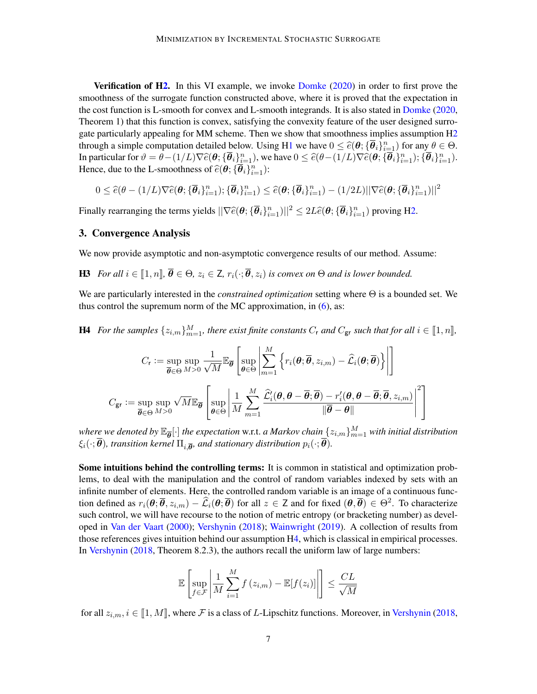Verification of [H2.](#page-2-2) In this VI example, we invoke [Domke](#page-12-3) [\(2020\)](#page-12-3) in order to first prove the smoothness of the surrogate function constructed above, where it is proved that the expectation in the cost function is L-smooth for convex and L-smooth integrands. It is also stated in [Domke](#page-12-3) [\(2020,](#page-12-3) Theorem 1) that this function is convex, satisfying the convexity feature of the user designed surrogate particularly appealing for MM scheme. Then we show that smoothness implies assumption  $H<sub>2</sub>$ through a simple computation detailed below. Using [H1](#page-2-1) we have  $0 \leq \hat{e}(\theta; {\{\overline{\theta}_i\}}_{i=1}^n)$  for any  $\theta \in \Theta$ .<br>In particular for  $\theta = \theta$ ,  $(1/I)\nabla \hat{e}(\theta; {\{\overline{\theta}_i\}}_n)$ , we have  $0 \leq \hat{e}(\theta; {\{\overline{\theta}_i\}}_{i=1}^n)$ .  $(\overline{\theta}_$ In particular for  $\vartheta = \theta - (1/L)\nabla \hat{\epsilon}(\theta; \{\overline{\theta}_i\}_{i=1}^n)$ , we have  $0 \leq \hat{\epsilon}(\theta - (1/L)\nabla \hat{\epsilon}(\theta; \{\overline{\theta}_i\}_{i=1}^n); \{\overline{\theta}_i\}_{i=1}^n)$ .<br>Hence due to the L smoothness of  $\hat{\epsilon}(\theta, \{\overline{\theta}_i\}_{i=1}^n)$ . Hence, due to the L-smoothness of  $\widehat{e}(\boldsymbol{\theta}; \{\boldsymbol{\overline{\theta}}_i\}_{i=1}^n)$ :

$$
0 \leq \widehat{e}(\theta - (1/L)\nabla \widehat{e}(\theta; \{\overline{\theta}_i\}_{i=1}^n); \{\overline{\theta}_i\}_{i=1}^n) \leq \widehat{e}(\theta; \{\overline{\theta}_i\}_{i=1}^n) - (1/2L)||\nabla \widehat{e}(\theta; \{\overline{\theta}_i\}_{i=1}^n)||^2
$$

Finally rearranging the terms yields  $||\nabla \hat{e}(\theta; \{\overline{\theta}_i\}_{i=1}^n)||^2 \leq 2L\hat{e}(\theta; \{\overline{\theta}_i\}_{i=1}^n)$  proving [H2.](#page-2-2)

# <span id="page-6-0"></span>3. Convergence Analysis

<span id="page-6-2"></span>We now provide asymptotic and non-asymptotic convergence results of our method. Assume:

**H3** *For all*  $i \in [1, n], \overline{\theta} \in \Theta$ ,  $z_i \in \mathbb{Z}$ ,  $r_i(\cdot; \overline{\theta}, z_i)$  *is convex on*  $\Theta$  *and is lower bounded.* 

We are particularly interested in the *constrained optimization* setting where Θ is a bounded set. We thus control the supremum norm of the MC approximation, in  $(6)$ , as:

**H4** For the samples  $\{z_{i,m}\}_{m=1}^M$ , there exist finite constants  $C_r$  and  $C_{gr}$  such that for all  $i \in [\![1,n]\!]$ ,

<span id="page-6-1"></span>
$$
C_{\mathbf{r}} := \sup_{\overline{\boldsymbol{\theta}} \in \Theta} \sup_{M>0} \frac{1}{\sqrt{M}} \mathbb{E}_{\overline{\boldsymbol{\theta}}} \left[ \sup_{\boldsymbol{\theta} \in \Theta} \left| \sum_{m=1}^{M} \left\{ r_i(\boldsymbol{\theta}; \overline{\boldsymbol{\theta}}, z_{i,m}) - \widehat{\mathcal{L}}_i(\boldsymbol{\theta}; \overline{\boldsymbol{\theta}}) \right\} \right| \right]
$$
  

$$
C_{\mathbf{g}\mathbf{r}} := \sup_{\overline{\boldsymbol{\theta}} \in \Theta} \sup_{M>0} \sqrt{M} \mathbb{E}_{\overline{\boldsymbol{\theta}}} \left[ \sup_{\boldsymbol{\theta} \in \Theta} \left| \frac{1}{M} \sum_{m=1}^{M} \frac{\widehat{\mathcal{L}}'_i(\boldsymbol{\theta}, \boldsymbol{\theta} - \overline{\boldsymbol{\theta}}; \overline{\boldsymbol{\theta}}) - r'_i(\boldsymbol{\theta}, \boldsymbol{\theta} - \overline{\boldsymbol{\theta}}; \overline{\boldsymbol{\theta}}, z_{i,m})}{\|\overline{\boldsymbol{\theta}} - \boldsymbol{\theta}\|} \right|^2 \right]
$$

where we denoted by  $\mathbb{E}_{\overline{\bm{\theta}}}[\cdot]$  the expectation w.r.t. a Markov chain  $\{z_{i,m}\}_{m=1}^M$  with initial distribution  $\xi_i(\cdot;\boldsymbol{\theta})$ , transition kernel  $\Pi_{i,\boldsymbol{\overline{\theta}}}$ , and stationary distribution  $p_i(\cdot;\boldsymbol{\overline{\theta}})$ .

Some intuitions behind the controlling terms: It is common in statistical and optimization problems, to deal with the manipulation and the control of random variables indexed by sets with an infinite number of elements. Here, the controlled random variable is an image of a continuous function defined as  $r_i(\theta; \overline{\theta}, z_{i,m}) - \widehat{\mathcal{L}}_i(\theta; \overline{\theta})$  for all  $z \in \mathsf{Z}$  and for fixed  $(\theta, \overline{\theta}) \in \Theta^2$ . To characterize such control, we will have recourse to the notion of metric entropy (or bracketing number) as developed in [Van der Vaart](#page-14-11) [\(2000\)](#page-14-11); [Vershynin](#page-15-0) [\(2018\)](#page-15-0); [Wainwright](#page-15-1) [\(2019\)](#page-15-1). A collection of results from those references gives intuition behind our assumption [H4,](#page-6-1) which is classical in empirical processes. In [Vershynin](#page-15-0) [\(2018,](#page-15-0) Theorem 8.2.3), the authors recall the uniform law of large numbers:

$$
\mathbb{E}\left[\sup_{f\in\mathcal{F}}\left|\frac{1}{M}\sum_{i=1}^{M}f\left(z_{i,m}\right)-\mathbb{E}[f(z_{i})]\right|\right] \leq \frac{CL}{\sqrt{M}}
$$

for all  $z_{i,m}$ ,  $i \in [1, M]$ , where F is a class of L-Lipschitz functions. Moreover, in [Vershynin](#page-15-0) [\(2018,](#page-15-0)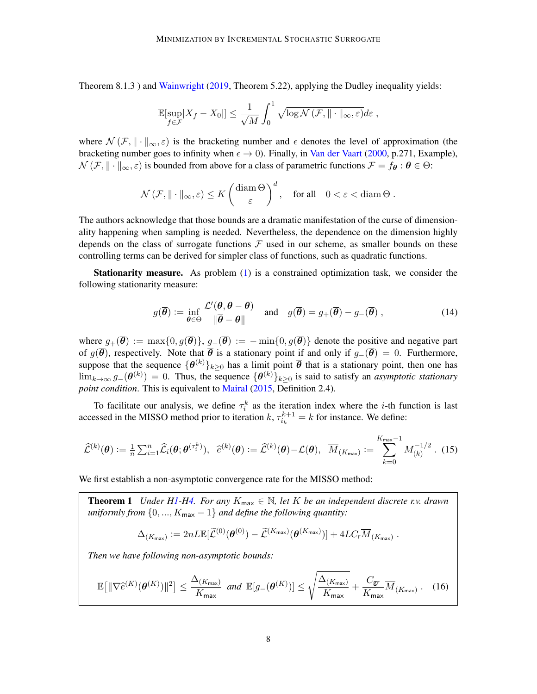Theorem 8.1.3 ) and [Wainwright](#page-15-1) [\(2019,](#page-15-1) Theorem 5.22), applying the Dudley inequality yields:

$$
\mathbb{E}[\sup_{f \in \mathcal{F}} |X_f - X_0|] \le \frac{1}{\sqrt{M}} \int_0^1 \sqrt{\log \mathcal{N}(\mathcal{F}, \|\cdot\|_{\infty}, \varepsilon)} d\varepsilon,
$$

where  $\mathcal{N}(\mathcal{F}, \|\cdot\|_{\infty}, \varepsilon)$  is the bracketing number and  $\epsilon$  denotes the level of approximation (the bracketing number goes to infinity when  $\epsilon \to 0$ ). Finally, in [Van der Vaart](#page-14-11) [\(2000,](#page-14-11) p.271, Example),  $\mathcal{N}(\mathcal{F}, \|\cdot\|_{\infty}, \varepsilon)$  is bounded from above for a class of parametric functions  $\mathcal{F} = f_{\theta} : \theta \in \Theta$ :

$$
\mathcal{N}\left(\mathcal{F}, \|\cdot\|_{\infty}, \varepsilon\right) \leq K\left(\frac{\operatorname{diam} \Theta}{\varepsilon}\right)^d, \quad \text{for all} \quad 0 < \varepsilon < \operatorname{diam} \Theta.
$$

The authors acknowledge that those bounds are a dramatic manifestation of the curse of dimensionality happening when sampling is needed. Nevertheless, the dependence on the dimension highly depends on the class of surrogate functions  $\mathcal F$  used in our scheme, as smaller bounds on these controlling terms can be derived for simpler class of functions, such as quadratic functions.

Stationarity measure. As problem [\(1\)](#page-0-1) is a constrained optimization task, we consider the following stationarity measure:

$$
g(\overline{\boldsymbol{\theta}}) := \inf_{\boldsymbol{\theta} \in \Theta} \frac{\mathcal{L}'(\overline{\boldsymbol{\theta}}, \boldsymbol{\theta} - \overline{\boldsymbol{\theta}})}{\|\overline{\boldsymbol{\theta}} - \boldsymbol{\theta}\|} \quad \text{and} \quad g(\overline{\boldsymbol{\theta}}) = g_+(\overline{\boldsymbol{\theta}}) - g_-(\overline{\boldsymbol{\theta}}) \,, \tag{14}
$$

where  $g_+(\overline{\theta}) := \max\{0, g(\overline{\theta})\}, g_-(\overline{\theta}) := -\min\{0, g(\overline{\theta})\}$  denote the positive and negative part of  $q(\overline{\theta})$ , respectively. Note that  $\overline{\theta}$  is a stationary point if and only if  $q_-(\overline{\theta}) = 0$ . Furthermore, suppose that the sequence  $\{\theta^{(k)}\}_{k\geq 0}$  has a limit point  $\overline{\theta}$  that is a stationary point, then one has  $\lim_{k\to\infty} g_-(\theta^{(k)}) = 0$ . Thus, the sequence  $\{\theta^{(k)}\}_{k\geq 0}$  is said to satisfy an *asymptotic stationary point condition*. This is equivalent to [Mairal](#page-14-2) [\(2015,](#page-14-2) Definition 2.4).

To facilitate our analysis, we define  $\tau_i^k$  as the iteration index where the *i*-th function is last accessed in the MISSO method prior to iteration  $k$ ,  $\tau_{i_k}^{k+1} = k$  for instance. We define:

<span id="page-7-2"></span>
$$
\widehat{\mathcal{L}}^{(k)}(\boldsymbol{\theta}) := \frac{1}{n} \sum_{i=1}^n \widehat{\mathcal{L}}_i(\boldsymbol{\theta}; \boldsymbol{\theta}^{(\tau_i^k)}), \quad \widehat{e}^{(k)}(\boldsymbol{\theta}) := \widehat{\mathcal{L}}^{(k)}(\boldsymbol{\theta}) - \mathcal{L}(\boldsymbol{\theta}), \quad \overline{M}_{(K_{\text{max}})} := \sum_{k=0}^{K_{\text{max}}-1} M_{(k)}^{-1/2}.
$$
 (15)

We first establish a non-asymptotic convergence rate for the MISSO method:

<span id="page-7-0"></span>**Theorem 1** *Under [H1-](#page-2-1)[H4.](#page-6-1) For any*  $K_{\text{max}} \in \mathbb{N}$ , let K be an independent discrete r.v. drawn *uniformly from*  $\{0, ..., K_{\text{max}} - 1\}$  *and define the following quantity:* 

<span id="page-7-1"></span>
$$
\Delta_{(K_{\max})} := 2nL\mathbb{E}[\widetilde{\mathcal{L}}^{(0)}(\boldsymbol{\theta}^{(0)}) - \widetilde{\mathcal{L}}^{(K_{\max})}(\boldsymbol{\theta}^{(K_{\max})})] + 4LC_{\mathsf{r}}\overline{M}_{(K_{\max})}.
$$

*Then we have following non-asymptotic bounds:*

$$
\mathbb{E}\big[\|\nabla \widehat{e}^{(K)}(\boldsymbol{\theta}^{(K)})\|^2\big] \leq \frac{\Delta_{(K_{\text{max}})}}{K_{\text{max}}} \text{ and } \mathbb{E}[g_{-}(\boldsymbol{\theta}^{(K)})] \leq \sqrt{\frac{\Delta_{(K_{\text{max}})}}{K_{\text{max}}}} + \frac{C_{\text{gr}}}{K_{\text{max}}} \overline{M}_{(K_{\text{max}})} . \quad (16)
$$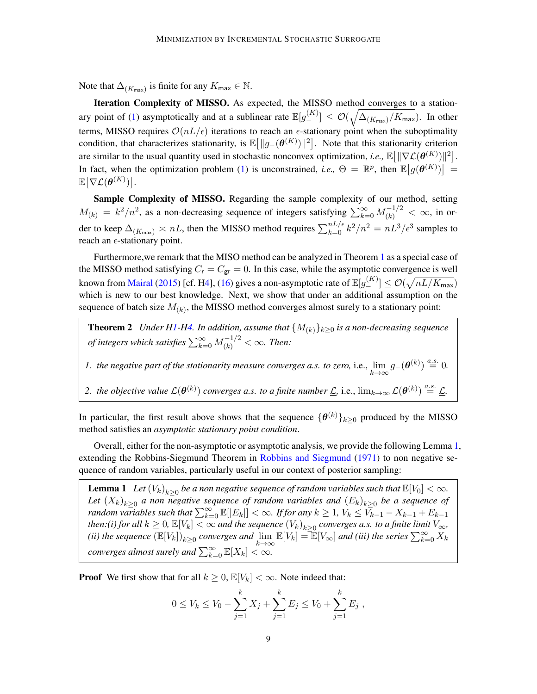Note that  $\Delta_{(K_{\text{max}})}$  is finite for any  $K_{\text{max}} \in \mathbb{N}$ .

Iteration Complexity of MISSO. As expected, the MISSO method converges to a station-ary point of [\(1\)](#page-0-1) asymptotically and at a sublinear rate  $\mathbb{E}[g_{-}^{(K)}] \le \mathcal{O}(\sqrt{\Delta_{(K_{\text{max}})}/K_{\text{max}}})$ . In other terms, MISSO requires  $\mathcal{O}(nL/\epsilon)$  iterations to reach an  $\epsilon$ -stationary point when the suboptimality condition, that characterizes stationarity, is  $\mathbb{E}[||g_{-}(\theta^{(K)})||^2]$ . Note that this stationarity criterion are similar to the usual quantity used in stochastic nonconvex optimization, *i.e.*,  $\mathbb{E}[\|\nabla \mathcal{L}(\theta^{(K)})\|^2]$ . In fact, when the optimization problem [\(1\)](#page-0-1) is unconstrained, *i.e.*,  $\Theta = \mathbb{R}^p$ , then  $\mathbb{E}[g(\theta^{(K)})] =$  $\mathbb{E} \big[ \nabla \mathcal{L}(\boldsymbol{\theta}^{(K)}) \big].$ 

Sample Complexity of MISSO. Regarding the sample complexity of our method, setting  $M_{(k)} = k^2/n^2$ , as a non-decreasing sequence of integers satisfying  $\sum_{k=0}^{\infty} M_{(k)}^{-1/2} < \infty$ , in order to keep  $\Delta_{(K_{\max})} \asymp nL$ , then the MISSO method requires  $\sum_{k=0}^{nL/\epsilon} k^2/n^2 = nL^3/\epsilon^3$  samples to reach an  $\epsilon$ -stationary point.

Furthermore,we remark that the MISO method can be analyzed in Theorem [1](#page-7-0) as a special case of the MISSO method satisfying  $C_r = C_{gr} = 0$ . In this case, while the asymptotic convergence is well known from <u>[Mairal](#page-14-2) [\(2015\)](#page-14-2)</u> [cf. [H4\]](#page-6-1), [\(16\)](#page-7-1) gives a non-asymptotic rate of  $\mathbb{E}[g^{(K)}_{-}]\leq \mathcal{O}(\sqrt{nL/K_{\sf max}})$ which is new to our best knowledge. Next, we show that under an additional assumption on the sequence of batch size  $M_{(k)}$ , the MISSO method converges almost surely to a stationary point:

<span id="page-8-2"></span>**Theorem 2** *Under [H1-](#page-2-1)[H4.](#page-6-1) In addition, assume that*  ${M_{(k)}}_{k\geq0}$  *is a non-decreasing sequence of integers which satisfies*  $\sum_{k=0}^{\infty} M_{(k)}^{-1/2} < \infty$ *. Then:* 

*1. the negative part of the stationarity measure converges a.s. to zero, i.e.,*  $\lim_{k\to\infty} g_-(\theta^{(k)}) \stackrel{a.s.}{=} 0$ .

2. the objective value  $\mathcal{L}(\theta^{(k)})$  converges a.s. to a finite number  $\underline{\mathcal{L}}$ , i.e.,  $\lim_{k\to\infty}\mathcal{L}(\theta^{(k)})\stackrel{a.s.}{=}\underline{\mathcal{L}}$ .

In particular, the first result above shows that the sequence  $\{\theta^{(k)}\}_{k\geq 0}$  produced by the MISSO method satisfies an *asymptotic stationary point condition*.

Overall, either for the non-asymptotic or asymptotic analysis, we provide the following Lemma [1,](#page-8-0) extending the Robbins-Siegmund Theorem in [Robbins and Siegmund](#page-14-12) [\(1971\)](#page-14-12) to non negative sequence of random variables, particularly useful in our context of posterior sampling:

<span id="page-8-0"></span>**Lemma 1** Let  $(V_k)_{k\geq 0}$  be a non negative sequence of random variables such that  $\mathbb{E}[V_0]<\infty$ . Let  $(X_k)_{k\geq 0}$  a non negative sequence of random variables and  $(E_k)_{k\geq 0}$  be a sequence of *random variables such that*  $\sum_{k=0}^{\infty} \mathbb{E}[|E_k|] < \infty$ . *If for any*  $k \geq 1$ ,  $V_k \leq V_{k-1} - X_{k-1} + E_{k-1}$ *then:(i) for all*  $k \geq 0$ ,  $\mathbb{E}[V_k] < \infty$  *and the sequence*  $(V_k)_{k\geq 0}$  *converges a.s. to a finite limit*  $V_{\infty}$ *, (ii) the sequence*  $(\mathbb{E}[V_k])_{k\geq 0}$  *converges and*  $\lim_{k\to\infty} \mathbb{E}[V_k] = \mathbb{E}[V_\infty]$  *and (iii) the series*  $\sum_{k=0}^\infty X_k$ *converges almost surely and*  $\sum_{k=0}^{\infty} \mathbb{E}[X_k] < \infty$ .

**Proof** We first show that for all  $k \geq 0$ ,  $\mathbb{E}[V_k] < \infty$ . Note indeed that:

<span id="page-8-1"></span>
$$
0 \le V_k \le V_0 - \sum_{j=1}^k X_j + \sum_{j=1}^k E_j \le V_0 + \sum_{j=1}^k E_j,
$$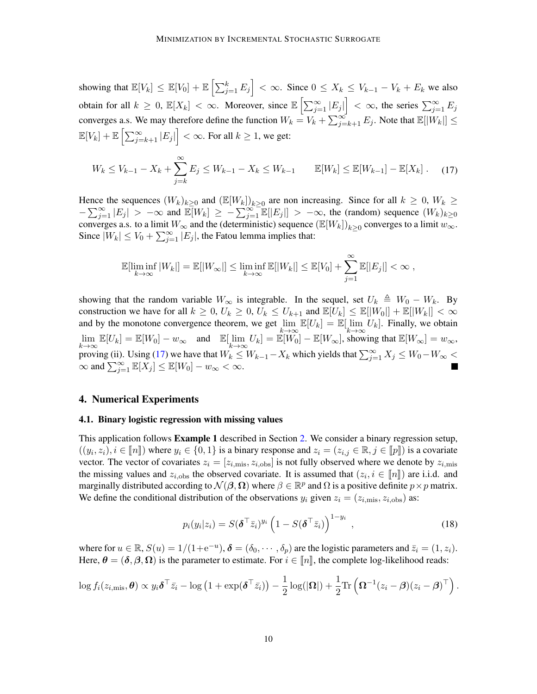showing that  $\mathbb{E}[V_k] \leq \mathbb{E}[V_0] + \mathbb{E}\left[\sum_{j=1}^k E_j\right] < \infty$ . Since  $0 \leq X_k \leq V_{k-1} - V_k + E_k$  we also obtain for all  $k \geq 0$ ,  $\mathbb{E}[X_k] < \infty$ . Moreover, since  $\mathbb{E}\left[\sum_{j=1}^{\infty}|E_j|\right] < \infty$ , the series  $\sum_{j=1}^{\infty}E_j$ converges a.s. We may therefore define the function  $W_k = V_k + \sum_{j=k+1}^{\infty} E_j$ . Note that  $\mathbb{E}[|W_k|] \leq$  $\mathbb{E}[V_k] + \mathbb{E}\left[\sum_{j=k+1}^{\infty} |E_j|\right] < \infty$ . For all  $k \ge 1$ , we get:

$$
W_k \le V_{k-1} - X_k + \sum_{j=k}^{\infty} E_j \le W_{k-1} - X_k \le W_{k-1} \qquad \mathbb{E}[W_k] \le \mathbb{E}[W_{k-1}] - \mathbb{E}[X_k]. \tag{17}
$$

Hence the sequences  $(W_k)_{k\geq 0}$  and  $(\mathbb{E}[W_k])_{k\geq 0}$  are non increasing. Since for all  $k \geq 0$ ,  $W_k \geq 0$  $-\sum_{j=1}^{\infty} |E_j| > -\infty$  and  $\mathbb{E}[W_k] \geq -\sum_{j=1}^{\infty} \mathbb{E}[|E_j|] > -\infty$ , the (random) sequence  $(W_k)_{k\geq 0}$ converges a.s. to a limit  $W_{\infty}$  and the (deterministic) sequence  $(\mathbb{E}[W_k])_{k\geq 0}$  converges to a limit  $w_{\infty}$ . Since  $|W_k| \le V_0 + \sum_{j=1}^{\infty} |E_j|$ , the Fatou lemma implies that:

$$
\mathbb{E}[\liminf_{k \to \infty} |W_k|] = \mathbb{E}[|W_\infty|] \le \liminf_{k \to \infty} \mathbb{E}[|W_k|] \le \mathbb{E}[V_0] + \sum_{j=1}^\infty \mathbb{E}[|E_j|] < \infty,
$$

showing that the random variable  $W_{\infty}$  is integrable. In the sequel, set  $U_k \triangleq W_0 - W_k$ . By construction we have for all  $k \geq 0$ ,  $U_k \geq 0$ ,  $U_k \leq U_{k+1}$  and  $\mathbb{E}[U_k] \leq \mathbb{E}[|W_0|] + \mathbb{E}[|W_k|] < \infty$ and by the monotone convergence theorem, we get  $\lim_{k\to\infty} \mathbb{E}[U_k] = \mathbb{E}[\lim_{k\to\infty} U_k]$ . Finally, we obtain  $\lim_{k \to \infty} \mathbb{E}[U_k] = \mathbb{E}[W_0] - w_{\infty}$  and  $\mathbb{E}[\lim_{k \to \infty} U_k] = \mathbb{E}[W_0] - \mathbb{E}[W_{\infty}]$ , showing that  $\mathbb{E}[W_{\infty}] = w_{\infty}$ , proving (ii). Using [\(17\)](#page-8-1) we have that  $W_k \leq W_{k-1} - X_k$  which yields that  $\sum_{j=1}^{\infty} X_j \leq W_0 - W_{\infty}$  $\infty$  and  $\sum_{j=1}^{\infty} \mathbb{E}[X_j] \leq \mathbb{E}[W_0] - w_{\infty} < \infty$ .

#### <span id="page-9-0"></span>4. Numerical Experiments

#### 4.1. Binary logistic regression with missing values

This application follows **Example 1** described in Section [2.](#page-2-0) We consider a binary regression setup,  $((y_i, z_i), i \in [\![n]\!] )$  where  $y_i \in \{0, 1\}$  is a binary response and  $z_i = (z_{i,j} \in \mathbb{R}, j \in [\![p]\!])$  is a covariate<br>vector. The vector of covariates  $z_i = [z_{i,j} \in \mathbb{R}]$  is not fully observed where we denote by  $z_i$ vector. The vector of covariates  $z_i = [z_{i,\text{mis}}, z_{i,\text{obs}}]$  is not fully observed where we denote by  $z_{i,\text{mis}}$ the missing values and  $z_{i,obs}$  the observed covariate. It is assumed that  $(z_i, i \in [\![n]\!])$  are i.i.d. and<br>marginally distributed according to  $\mathcal{N}(B, \Omega)$  where  $\beta \in \mathbb{R}^p$  and  $\Omega$  is a positive definite  $\eta \times \eta$  matr marginally distributed according to  $\mathcal{N}(\beta,\Omega)$  where  $\beta \in \mathbb{R}^p$  and  $\Omega$  is a positive definite  $p \times p$  matrix. We define the conditional distribution of the observations  $y_i$  given  $z_i = (z_{i,\text{mis}}, z_{i,\text{obs}})$  as:

<span id="page-9-1"></span>
$$
p_i(y_i|z_i) = S(\boldsymbol{\delta}^\top \bar{z}_i)^{y_i} \left(1 - S(\boldsymbol{\delta}^\top \bar{z}_i)\right)^{1 - y_i}, \qquad (18)
$$

where for  $u \in \mathbb{R}$ ,  $S(u) = 1/(1 + e^{-u})$ ,  $\boldsymbol{\delta} = (\delta_0, \cdots, \delta_p)$  are the logistic parameters and  $\bar{z}_i = (1, z_i)$ . Here,  $\theta = (\delta, \beta, \Omega)$  is the parameter to estimate. For  $i \in [n]$ , the complete log-likelihood reads:

$$
\log f_i(z_{i,\text{mis}}, \boldsymbol{\theta}) \propto y_i \boldsymbol{\delta}^\top \bar{z}_i - \log \left(1 + \exp(\boldsymbol{\delta}^\top \bar{z}_i)\right) - \frac{1}{2} \log(|\boldsymbol{\Omega}|) + \frac{1}{2} \text{Tr}\left(\boldsymbol{\Omega}^{-1} (z_i - \boldsymbol{\beta}) (z_i - \boldsymbol{\beta})^\top\right).
$$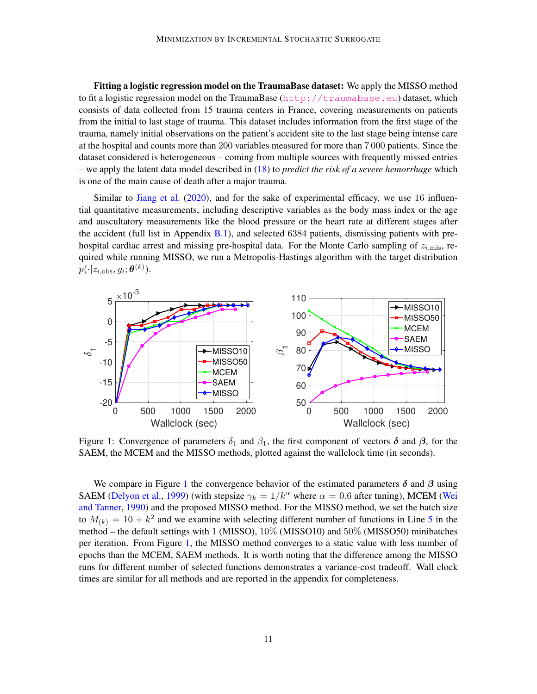Fitting a logistic regression model on the TraumaBase dataset: We apply the MISSO method to fit a logistic regression model on the TraumaBase (<http://traumabase.eu>) dataset, which consists of data collected from 15 trauma centers in France, covering measurements on patients from the initial to last stage of trauma. This dataset includes information from the first stage of the trauma, namely initial observations on the patient's accident site to the last stage being intense care at the hospital and counts more than 200 variables measured for more than 7 000 patients. Since the dataset considered is heterogeneous – coming from multiple sources with frequently missed entries – we apply the latent data model described in [\(18\)](#page-9-1) to *predict the risk of a severe hemorrhage* which is one of the main cause of death after a major trauma.

Similar to [Jiang et al.](#page-13-9) [\(2020\)](#page-13-9), and for the sake of experimental efficacy, we use 16 influential quantitative measurements, including descriptive variables as the body mass index or the age and auscultatory measurements like the blood pressure or the heart rate at different stages after the accident (full list in Appendix  $B(1)$ , and selected 6384 patients, dismissing patients with prehospital cardiac arrest and missing pre-hospital data. For the Monte Carlo sampling of  $z_{i,\text{mis}}$ , required while running MISSO, we run a Metropolis-Hastings algorithm with the target distribution  $p(\cdot|z_{i,\text{obs}},y_i;\boldsymbol{\theta}^{(k)}).$ 

<span id="page-10-0"></span>

Figure 1: Convergence of parameters  $\delta_1$  and  $\beta_1$ , the first component of vectors  $\delta$  and  $\beta$ , for the SAEM, the MCEM and the MISSO methods, plotted against the wallclock time (in seconds).

We compare in Figure [1](#page-10-0) the convergence behavior of the estimated parameters  $\delta$  and  $\beta$  using SAEM [\(Delyon et al.,](#page-12-4) [1999\)](#page-12-4) (with stepsize  $\gamma_k = 1/k^{\alpha}$  where  $\alpha = 0.6$  after tuning), MCEM [\(Wei](#page-15-2) [and Tanner,](#page-15-2) [1990\)](#page-15-2) and the proposed MISSO method. For the MISSO method, we set the batch size to  $M_{(k)} = 10 + k^2$  and we examine with selecting different number of functions in Line [5](#page-4-1) in the method – the default settings with 1 (MISSO), 10% (MISSO10) and 50% (MISSO50) minibatches per iteration. From Figure [1,](#page-10-0) the MISSO method converges to a static value with less number of epochs than the MCEM, SAEM methods. It is worth noting that the difference among the MISSO runs for different number of selected functions demonstrates a variance-cost tradeoff. Wall clock times are similar for all methods and are reported in the appendix for completeness.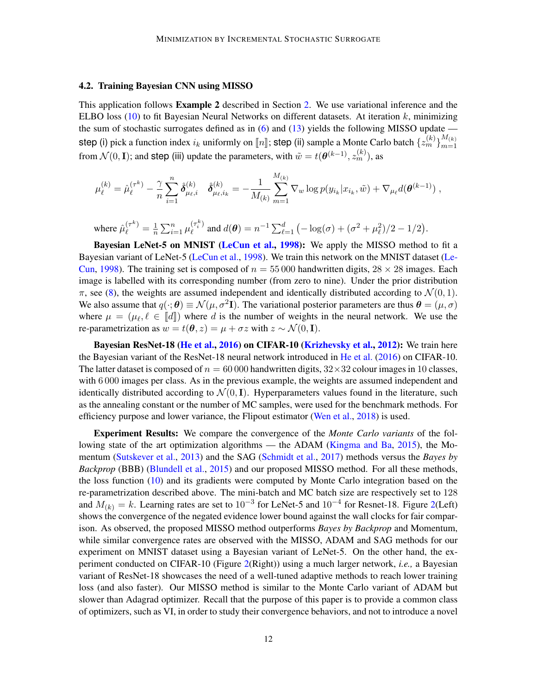#### 4.2. Training Bayesian CNN using MISSO

This application follows Example 2 described in Section [2.](#page-2-0) We use variational inference and the ELBO loss  $(10)$  to fit Bayesian Neural Networks on different datasets. At iteration k, minimizing the sum of stochastic surrogates defined as in  $(6)$  and  $(13)$  yields the following MISSO update step (i) pick a function index  $i_k$  uniformly on  $\llbracket n \rrbracket$ ; step (ii) sample a Monte Carlo batch  $\{z_m^{(k)}\}_{m=1}^{M_{(k)}}$  $m=1$ from  $\mathcal{N}(0, \mathbf{I})$ ; and step (iii) update the parameters, with  $\tilde{w} = t(\theta^{(k-1)}, z_m^{(k)})$ , as

$$
\mu_{\ell}^{(k)} = \hat{\mu}_{\ell}^{(\tau^{k})} - \frac{\gamma}{n} \sum_{i=1}^{n} \hat{\delta}_{\mu_{\ell},i}^{(k)} \quad \hat{\delta}_{\mu_{\ell},i_k}^{(k)} = -\frac{1}{M_{(k)}} \sum_{m=1}^{M_{(k)}} \nabla_w \log p(y_{i_k} | x_{i_k}, \tilde{w}) + \nabla_{\mu_{\ell}} d(\boldsymbol{\theta}^{(k-1)}) ,
$$

where 
$$
\hat{\mu}_{\ell}^{(\tau^k)} = \frac{1}{n} \sum_{i=1}^n \mu_{\ell}^{(\tau_i^k)}
$$
 and  $d(\boldsymbol{\theta}) = n^{-1} \sum_{\ell=1}^d \left( -\log(\sigma) + (\sigma^2 + \mu_{\ell}^2)/2 - 1/2 \right)$ .

Bayesian LeNet-5 on MNIST [\(LeCun et al.,](#page-13-10) [1998\)](#page-13-10): We apply the MISSO method to fit a Bayesian variant of LeNet-5 [\(LeCun et al.,](#page-13-10) [1998\)](#page-13-10). We train this network on the MNIST dataset [\(Le-](#page-13-11)[Cun,](#page-13-11) [1998\)](#page-13-11). The training set is composed of  $n = 55000$  handwritten digits,  $28 \times 28$  images. Each image is labelled with its corresponding number (from zero to nine). Under the prior distribution  $\pi$ , see [\(8\)](#page-5-0), the weights are assumed independent and identically distributed according to  $\mathcal{N}(0, 1)$ . We also assume that  $q(\cdot;\theta) \equiv \mathcal{N}(\mu, \sigma^2 I)$ . The variational posterior parameters are thus  $\theta = (\mu, \sigma)$ where  $\mu = (\mu_{\ell}, \ell \in [\![d]\!])$  where d is the number of weights in the neural network. We use the re-preparatrization as  $w = t(\theta, \alpha) = u + \tau \alpha$  with  $\alpha \in \Lambda$  (0.5) re-parametrization as  $w = t(\theta, z) = \mu + \sigma z$  with  $z \sim \mathcal{N}(0, \mathbf{I})$ .

Bayesian ResNet-18 [\(He et al.,](#page-13-12) [2016\)](#page-13-12) on CIFAR-10 [\(Krizhevsky et al.,](#page-13-13) [2012\)](#page-13-13): We train here the Bayesian variant of the ResNet-18 neural network introduced in [He et al.](#page-13-12) [\(2016\)](#page-13-12) on CIFAR-10. The latter dataset is composed of  $n = 60000$  handwritten digits,  $32 \times 32$  colour images in 10 classes, with 6 000 images per class. As in the previous example, the weights are assumed independent and identically distributed according to  $\mathcal{N}(0, \mathbf{I})$ . Hyperparameters values found in the literature, such as the annealing constant or the number of MC samples, were used for the benchmark methods. For efficiency purpose and lower variance, the Flipout estimator [\(Wen et al.,](#page-15-3) [2018\)](#page-15-3) is used.

Experiment Results: We compare the convergence of the *Monte Carlo variants* of the following state of the art optimization algorithms — the ADAM [\(Kingma and Ba,](#page-13-14) [2015\)](#page-13-14), the Momentum [\(Sutskever et al.,](#page-14-13) [2013\)](#page-14-13) and the SAG [\(Schmidt et al.,](#page-14-3) [2017\)](#page-14-3) methods versus the *Bayes by Backprop* (BBB) [\(Blundell et al.,](#page-12-0) [2015\)](#page-12-0) and our proposed MISSO method. For all these methods, the loss function  $(10)$  and its gradients were computed by Monte Carlo integration based on the re-parametrization described above. The mini-batch and MC batch size are respectively set to 128 and  $M_{(k)} = k$ . Learning rates are set to  $10^{-3}$  for LeNet-5 and  $10^{-4}$  for Resnet-18. Figure [2\(](#page-12-5)Left) shows the convergence of the negated evidence lower bound against the wall clocks for fair comparison. As observed, the proposed MISSO method outperforms *Bayes by Backprop* and Momentum, while similar convergence rates are observed with the MISSO, ADAM and SAG methods for our experiment on MNIST dataset using a Bayesian variant of LeNet-5. On the other hand, the experiment conducted on CIFAR-10 (Figure [2\(](#page-12-5)Right)) using a much larger network, *i.e.,* a Bayesian variant of ResNet-18 showcases the need of a well-tuned adaptive methods to reach lower training loss (and also faster). Our MISSO method is similar to the Monte Carlo variant of ADAM but slower than Adagrad optimizer. Recall that the purpose of this paper is to provide a common class of optimizers, such as VI, in order to study their convergence behaviors, and not to introduce a novel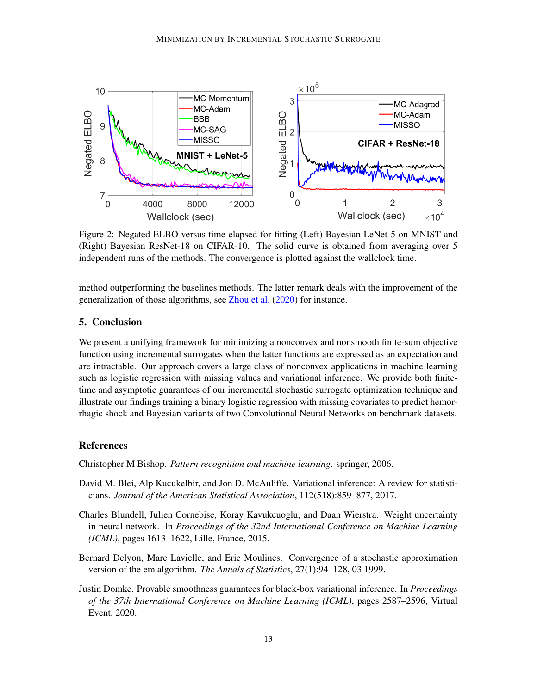<span id="page-12-5"></span>

Figure 2: Negated ELBO versus time elapsed for fitting (Left) Bayesian LeNet-5 on MNIST and (Right) Bayesian ResNet-18 on CIFAR-10. The solid curve is obtained from averaging over 5 independent runs of the methods. The convergence is plotted against the wallclock time.

method outperforming the baselines methods. The latter remark deals with the improvement of the generalization of those algorithms, see [Zhou et al.](#page-15-4) [\(2020\)](#page-15-4) for instance.

# 5. Conclusion

We present a unifying framework for minimizing a nonconvex and nonsmooth finite-sum objective function using incremental surrogates when the latter functions are expressed as an expectation and are intractable. Our approach covers a large class of nonconvex applications in machine learning such as logistic regression with missing values and variational inference. We provide both finitetime and asymptotic guarantees of our incremental stochastic surrogate optimization technique and illustrate our findings training a binary logistic regression with missing covariates to predict hemorrhagic shock and Bayesian variants of two Convolutional Neural Networks on benchmark datasets.

# References

<span id="page-12-1"></span>Christopher M Bishop. *Pattern recognition and machine learning*. springer, 2006.

- <span id="page-12-2"></span>David M. Blei, Alp Kucukelbir, and Jon D. McAuliffe. Variational inference: A review for statisticians. *Journal of the American Statistical Association*, 112(518):859–877, 2017.
- <span id="page-12-0"></span>Charles Blundell, Julien Cornebise, Koray Kavukcuoglu, and Daan Wierstra. Weight uncertainty in neural network. In *Proceedings of the 32nd International Conference on Machine Learning (ICML)*, pages 1613–1622, Lille, France, 2015.
- <span id="page-12-4"></span>Bernard Delyon, Marc Lavielle, and Eric Moulines. Convergence of a stochastic approximation version of the em algorithm. *The Annals of Statistics*, 27(1):94–128, 03 1999.
- <span id="page-12-3"></span>Justin Domke. Provable smoothness guarantees for black-box variational inference. In *Proceedings of the 37th International Conference on Machine Learning (ICML)*, pages 2587–2596, Virtual Event, 2020.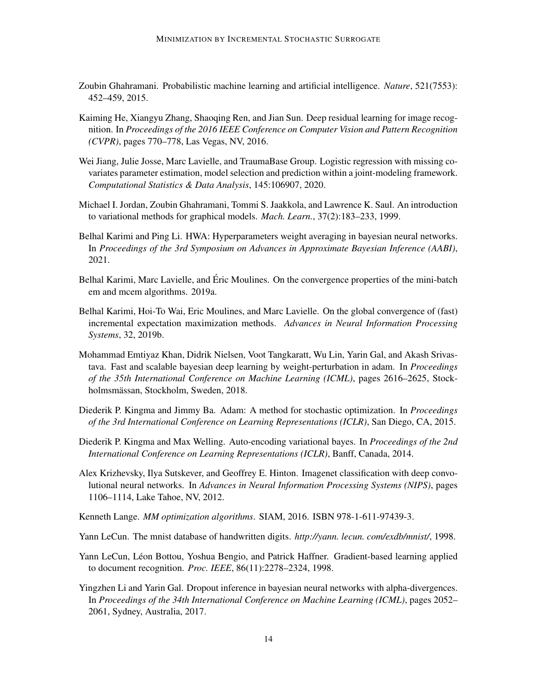- <span id="page-13-4"></span>Zoubin Ghahramani. Probabilistic machine learning and artificial intelligence. *Nature*, 521(7553): 452–459, 2015.
- <span id="page-13-12"></span>Kaiming He, Xiangyu Zhang, Shaoqing Ren, and Jian Sun. Deep residual learning for image recognition. In *Proceedings of the 2016 IEEE Conference on Computer Vision and Pattern Recognition (CVPR)*, pages 770–778, Las Vegas, NV, 2016.
- <span id="page-13-9"></span>Wei Jiang, Julie Josse, Marc Lavielle, and TraumaBase Group. Logistic regression with missing covariates parameter estimation, model selection and prediction within a joint-modeling framework. *Computational Statistics & Data Analysis*, 145:106907, 2020.
- <span id="page-13-0"></span>Michael I. Jordan, Zoubin Ghahramani, Tommi S. Jaakkola, and Lawrence K. Saul. An introduction to variational methods for graphical models. *Mach. Learn.*, 37(2):183–233, 1999.
- <span id="page-13-7"></span>Belhal Karimi and Ping Li. HWA: Hyperparameters weight averaging in bayesian neural networks. In *Proceedings of the 3rd Symposium on Advances in Approximate Bayesian Inference (AABI)*, 2021.
- <span id="page-13-2"></span>Belhal Karimi, Marc Lavielle, and Eric Moulines. On the convergence properties of the mini-batch ´ em and mcem algorithms. 2019a.
- <span id="page-13-3"></span>Belhal Karimi, Hoi-To Wai, Eric Moulines, and Marc Lavielle. On the global convergence of (fast) incremental expectation maximization methods. *Advances in Neural Information Processing Systems*, 32, 2019b.
- <span id="page-13-6"></span>Mohammad Emtiyaz Khan, Didrik Nielsen, Voot Tangkaratt, Wu Lin, Yarin Gal, and Akash Srivastava. Fast and scalable bayesian deep learning by weight-perturbation in adam. In *Proceedings of the 35th International Conference on Machine Learning (ICML)*, pages 2616–2625, Stockholmsmässan, Stockholm, Sweden, 2018.
- <span id="page-13-14"></span>Diederik P. Kingma and Jimmy Ba. Adam: A method for stochastic optimization. In *Proceedings of the 3rd International Conference on Learning Representations (ICLR)*, San Diego, CA, 2015.
- <span id="page-13-8"></span>Diederik P. Kingma and Max Welling. Auto-encoding variational bayes. In *Proceedings of the 2nd International Conference on Learning Representations (ICLR)*, Banff, Canada, 2014.
- <span id="page-13-13"></span>Alex Krizhevsky, Ilya Sutskever, and Geoffrey E. Hinton. Imagenet classification with deep convolutional neural networks. In *Advances in Neural Information Processing Systems (NIPS)*, pages 1106–1114, Lake Tahoe, NV, 2012.
- <span id="page-13-1"></span>Kenneth Lange. *MM optimization algorithms*. SIAM, 2016. ISBN 978-1-611-97439-3.

<span id="page-13-11"></span>Yann LeCun. The mnist database of handwritten digits. *http://yann. lecun. com/exdb/mnist/*, 1998.

- <span id="page-13-10"></span>Yann LeCun, Léon Bottou, Yoshua Bengio, and Patrick Haffner. Gradient-based learning applied to document recognition. *Proc. IEEE*, 86(11):2278–2324, 1998.
- <span id="page-13-5"></span>Yingzhen Li and Yarin Gal. Dropout inference in bayesian neural networks with alpha-divergences. In *Proceedings of the 34th International Conference on Machine Learning (ICML)*, pages 2052– 2061, Sydney, Australia, 2017.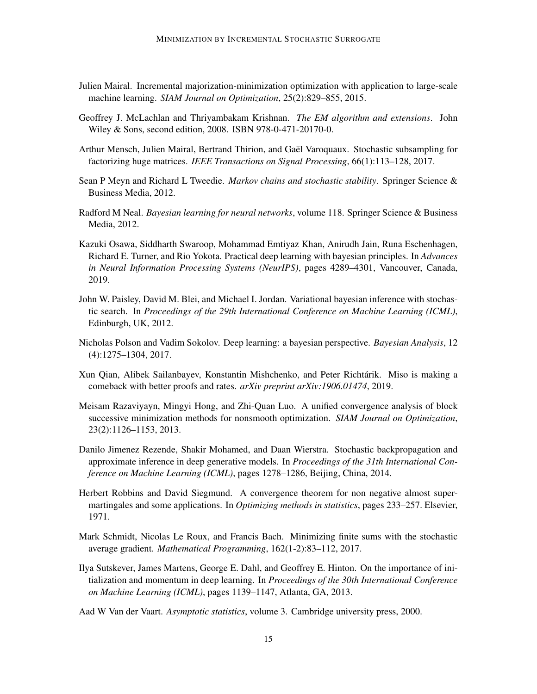- <span id="page-14-2"></span>Julien Mairal. Incremental majorization-minimization optimization with application to large-scale machine learning. *SIAM Journal on Optimization*, 25(2):829–855, 2015.
- <span id="page-14-0"></span>Geoffrey J. McLachlan and Thriyambakam Krishnan. *The EM algorithm and extensions*. John Wiley & Sons, second edition, 2008. ISBN 978-0-471-20170-0.
- <span id="page-14-5"></span>Arthur Mensch, Julien Mairal, Bertrand Thirion, and Gael Varoquaux. Stochastic subsampling for ¨ factorizing huge matrices. *IEEE Transactions on Signal Processing*, 66(1):113–128, 2017.
- <span id="page-14-14"></span>Sean P Meyn and Richard L Tweedie. *Markov chains and stochastic stability*. Springer Science & Business Media, 2012.
- <span id="page-14-6"></span>Radford M Neal. *Bayesian learning for neural networks*, volume 118. Springer Science & Business Media, 2012.
- <span id="page-14-9"></span>Kazuki Osawa, Siddharth Swaroop, Mohammad Emtiyaz Khan, Anirudh Jain, Runa Eschenhagen, Richard E. Turner, and Rio Yokota. Practical deep learning with bayesian principles. In *Advances in Neural Information Processing Systems (NeurIPS)*, pages 4289–4301, Vancouver, Canada, 2019.
- <span id="page-14-10"></span>John W. Paisley, David M. Blei, and Michael I. Jordan. Variational bayesian inference with stochastic search. In *Proceedings of the 29th International Conference on Machine Learning (ICML)*, Edinburgh, UK, 2012.
- <span id="page-14-7"></span>Nicholas Polson and Vadim Sokolov. Deep learning: a bayesian perspective. *Bayesian Analysis*, 12 (4):1275–1304, 2017.
- <span id="page-14-4"></span>Xun Qian, Alibek Sailanbayev, Konstantin Mishchenko, and Peter Richtarik. Miso is making a ´ comeback with better proofs and rates. *arXiv preprint arXiv:1906.01474*, 2019.
- <span id="page-14-1"></span>Meisam Razaviyayn, Mingyi Hong, and Zhi-Quan Luo. A unified convergence analysis of block successive minimization methods for nonsmooth optimization. *SIAM Journal on Optimization*, 23(2):1126–1153, 2013.
- <span id="page-14-8"></span>Danilo Jimenez Rezende, Shakir Mohamed, and Daan Wierstra. Stochastic backpropagation and approximate inference in deep generative models. In *Proceedings of the 31th International Conference on Machine Learning (ICML)*, pages 1278–1286, Beijing, China, 2014.
- <span id="page-14-12"></span>Herbert Robbins and David Siegmund. A convergence theorem for non negative almost supermartingales and some applications. In *Optimizing methods in statistics*, pages 233–257. Elsevier, 1971.
- <span id="page-14-3"></span>Mark Schmidt, Nicolas Le Roux, and Francis Bach. Minimizing finite sums with the stochastic average gradient. *Mathematical Programming*, 162(1-2):83–112, 2017.
- <span id="page-14-13"></span>Ilya Sutskever, James Martens, George E. Dahl, and Geoffrey E. Hinton. On the importance of initialization and momentum in deep learning. In *Proceedings of the 30th International Conference on Machine Learning (ICML)*, pages 1139–1147, Atlanta, GA, 2013.
- <span id="page-14-11"></span>Aad W Van der Vaart. *Asymptotic statistics*, volume 3. Cambridge university press, 2000.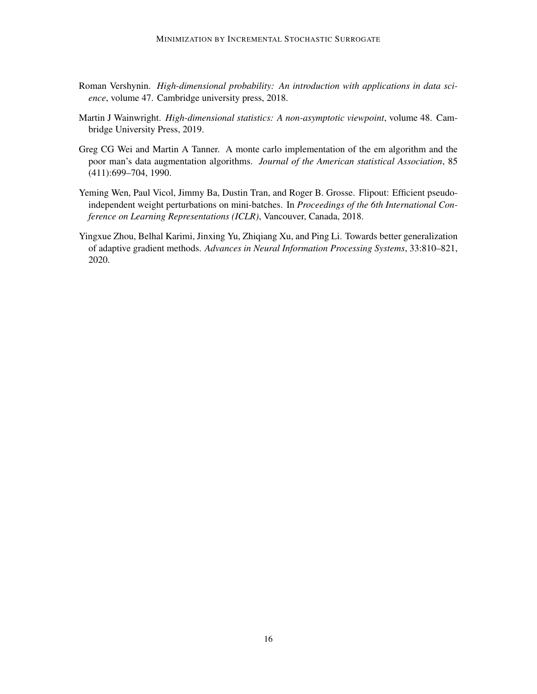- <span id="page-15-0"></span>Roman Vershynin. *High-dimensional probability: An introduction with applications in data science*, volume 47. Cambridge university press, 2018.
- <span id="page-15-1"></span>Martin J Wainwright. *High-dimensional statistics: A non-asymptotic viewpoint*, volume 48. Cambridge University Press, 2019.
- <span id="page-15-2"></span>Greg CG Wei and Martin A Tanner. A monte carlo implementation of the em algorithm and the poor man's data augmentation algorithms. *Journal of the American statistical Association*, 85 (411):699–704, 1990.
- <span id="page-15-3"></span>Yeming Wen, Paul Vicol, Jimmy Ba, Dustin Tran, and Roger B. Grosse. Flipout: Efficient pseudoindependent weight perturbations on mini-batches. In *Proceedings of the 6th International Conference on Learning Representations (ICLR)*, Vancouver, Canada, 2018.
- <span id="page-15-4"></span>Yingxue Zhou, Belhal Karimi, Jinxing Yu, Zhiqiang Xu, and Ping Li. Towards better generalization of adaptive gradient methods. *Advances in Neural Information Processing Systems*, 33:810–821, 2020.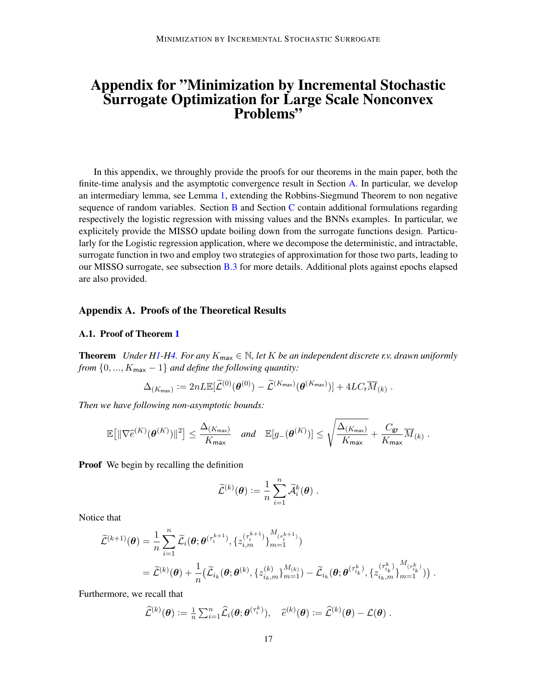# Appendix for "Minimization by Incremental Stochastic Surrogate Optimization for Large Scale Nonconvex Problems"

In this appendix, we throughly provide the proofs for our theorems in the main paper, both the finite-time analysis and the asymptotic convergence result in Section [A.](#page-16-0) In particular, we develop an intermediary lemma, see Lemma [1,](#page-8-0) extending the Robbins-Siegmund Theorem to non negative sequence of random variables. Section  $\overline{B}$  $\overline{B}$  $\overline{B}$  and Section  $\overline{C}$  $\overline{C}$  $\overline{C}$  contain additional formulations regarding respectively the logistic regression with missing values and the BNNs examples. In particular, we explicitely provide the MISSO update boiling down from the surrogate functions design. Particularly for the Logistic regression application, where we decompose the deterministic, and intractable, surrogate function in two and employ two strategies of approximation for those two parts, leading to our MISSO surrogate, see subsection [B.3](#page-25-0) for more details. Additional plots against epochs elapsed are also provided.

#### <span id="page-16-0"></span>Appendix A. Proofs of the Theoretical Results

#### A.1. Proof of Theorem [1](#page-7-0)

**Theorem** *Under [H1-](#page-2-1)[H4.](#page-6-1) For any*  $K_{\text{max}} \in \mathbb{N}$ , let K *be an independent discrete r.v. drawn uniformly from*  $\{0, ..., K_{\text{max}} - 1\}$  *and define the following quantity:* 

<span id="page-16-1"></span>
$$
\Delta_{(K_{\max})} := 2nL\mathbb{E}[\widetilde{\mathcal{L}}^{(0)}(\boldsymbol{\theta}^{(0)}) - \widetilde{\mathcal{L}}^{(K_{\max})}(\boldsymbol{\theta}^{(K_{\max})})] + 4LC_{\mathrm{r}}\overline{M}_{(k)}.
$$

*Then we have following non-asymptotic bounds:*

$$
\mathbb{E}\big[\|\nabla \widehat{e}^{(K)}(\boldsymbol{\theta}^{(K)})\|^2\big] \leq \frac{\Delta_{(K_{\sf max})}}{K_{\sf max}} \quad \text{and} \quad \mathbb{E}[g_{-}(\boldsymbol{\theta}^{(K)})] \leq \sqrt{\frac{\Delta_{(K_{\sf max})}}{K_{\sf max}}} + \frac{C_{\sf gr}}{K_{\sf max}} \overline{M}_{(k)} \; .
$$

**Proof** We begin by recalling the definition

$$
\widetilde{\mathcal{L}}^{(k)} (\boldsymbol{\theta}) := \frac{1}{n} \sum_{i=1}^n \widetilde{\mathcal{A}}_i^k (\boldsymbol{\theta}) \; .
$$

Notice that

$$
\tilde{\mathcal{L}}^{(k+1)}(\boldsymbol{\theta}) = \frac{1}{n} \sum_{i=1}^{n} \tilde{\mathcal{L}}_{i}(\boldsymbol{\theta}; \boldsymbol{\theta}^{(\tau_{i}^{k+1})}, \{z_{i,m}^{(\tau_{i}^{k+1})}\}_{m=1}^{M_{(\tau_{i}^{k+1})}})
$$
\n
$$
= \tilde{\mathcal{L}}^{(k)}(\boldsymbol{\theta}) + \frac{1}{n} \big(\tilde{\mathcal{L}}_{i_{k}}(\boldsymbol{\theta}; \boldsymbol{\theta}^{(k)}, \{z_{i_{k},m}^{(k)}\}_{m=1}^{M_{(k)}}) - \tilde{\mathcal{L}}_{i_{k}}(\boldsymbol{\theta}; \boldsymbol{\theta}^{(\tau_{i_{k}}^{k})}, \{z_{i_{k},m}^{(\tau_{i_{k}}^{k})}\}_{m=1}^{M_{(\tau_{i_{k}}^{k})}})\big).
$$

Furthermore, we recall that

$$
\widehat{\mathcal{L}}^{(k)} (\boldsymbol{\theta}) := \tfrac{1}{n} \sum_{i=1}^n \widehat{\mathcal{L}}_i (\boldsymbol{\theta}; \boldsymbol{\theta}^{(\tau_i^k)}), \quad \widehat{e}^{(k)} (\boldsymbol{\theta}) := \widehat{\mathcal{L}}^{(k)} (\boldsymbol{\theta}) - \mathcal{L} (\boldsymbol{\theta}) \; .
$$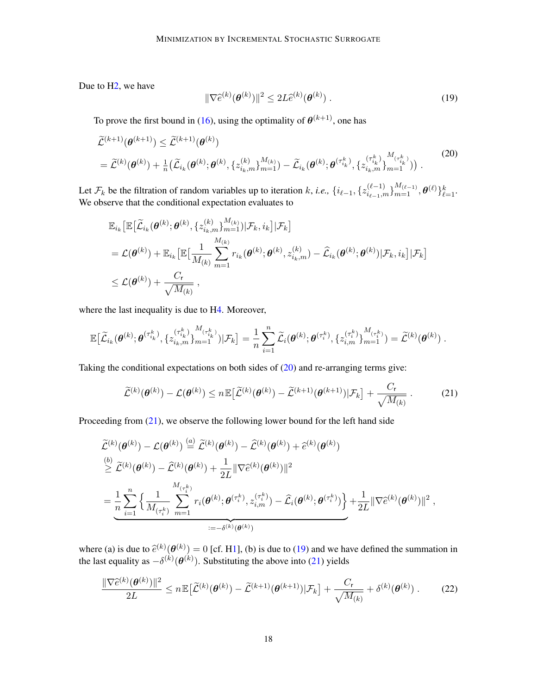Due to [H2,](#page-2-2) we have

$$
\|\nabla \widehat{e}^{(k)}(\boldsymbol{\theta}^{(k)})\|^2 \le 2L\widehat{e}^{(k)}(\boldsymbol{\theta}^{(k)})\,. \tag{19}
$$

To prove the first bound in [\(16\)](#page-7-1), using the optimality of  $\theta^{(k+1)}$ , one has

<span id="page-17-0"></span>
$$
\widetilde{\mathcal{L}}^{(k+1)}(\theta^{(k+1)}) \leq \widetilde{\mathcal{L}}^{(k+1)}(\theta^{(k)}) \n= \widetilde{\mathcal{L}}^{(k)}(\theta^{(k)}) + \frac{1}{n} \big( \widetilde{\mathcal{L}}_{i_k}(\theta^{(k)}; \theta^{(k)}, \{z_{i_k,m}^{(k)}\}_{m=1}^{M_{(k)}}) - \widetilde{\mathcal{L}}_{i_k}(\theta^{(k)}; \theta^{(\tau_{i_k}^k)}, \{z_{i_k,m}^{(\tau_{i_k}^k)}\}_{m=1}^{M_{(\tau_{i_k}^k)}}) \big) .
$$
\n(20)

Let  $\mathcal{F}_k$  be the filtration of random variables up to iteration k, *i.e.*,  $\{i_{\ell-1}, \{z_{i_{\ell-1},m}^{(\ell-1)}\}_{m=1}^{M_{(\ell-1)}}, \theta^{(\ell)}\}_{\ell=1}^k$ . We observe that the conditional expectation evaluates to

<span id="page-17-1"></span>
$$
\mathbb{E}_{i_k} \big[ \mathbb{E} \big[ \widetilde{\mathcal{L}}_{i_k}(\boldsymbol{\theta}^{(k)}; \boldsymbol{\theta}^{(k)}, \{z_{i_k,m}^{(k)}\}_{m=1}^{M_{(k)}}) | \mathcal{F}_k, i_k \big] | \mathcal{F}_k \big] \n= \mathcal{L}(\boldsymbol{\theta}^{(k)}) + \mathbb{E}_{i_k} \big[ \mathbb{E} \big[ \frac{1}{M_{(k)}} \sum_{m=1}^{M_{(k)}} r_{i_k}(\boldsymbol{\theta}^{(k)}; \boldsymbol{\theta}^{(k)}, z_{i_k,m}^{(k)}) - \widehat{\mathcal{L}}_{i_k}(\boldsymbol{\theta}^{(k)}; \boldsymbol{\theta}^{(k)}) | \mathcal{F}_k, i_k \big] | \mathcal{F}_k \big] \n\leq \mathcal{L}(\boldsymbol{\theta}^{(k)}) + \frac{C_r}{\sqrt{M_{(k)}}},
$$

where the last inequality is due to [H4.](#page-6-1) Moreover,

$$
\mathbb{E}\big[\widetilde{\mathcal{L}}_{i_k}(\pmb{\theta}^{(k)};\pmb{\theta}^{(\tau_{i_k}^{k})},\{z_{i_k,m}^{(\tau_{i_k}^{k})}\}_{m=1}^{M_{(\tau_{i_k}^{k})}})|\mathcal{F}_k\big] = \frac{1}{n}\sum_{i=1}^n\widetilde{\mathcal{L}}_i(\pmb{\theta}^{(k)};\pmb{\theta}^{(\tau_i^k)},\{z_{i,m}^{(\tau_i^k)}\}_{m=1}^{M_{(\tau_i^k)}}) = \widetilde{\mathcal{L}}^{(k)}(\pmb{\theta}^{(k)})\ .
$$

Taking the conditional expectations on both sides of [\(20\)](#page-17-0) and re-arranging terms give:

$$
\widetilde{\mathcal{L}}^{(k)}(\boldsymbol{\theta}^{(k)}) - \mathcal{L}(\boldsymbol{\theta}^{(k)}) \le n \mathbb{E} \big[ \widetilde{\mathcal{L}}^{(k)}(\boldsymbol{\theta}^{(k)}) - \widetilde{\mathcal{L}}^{(k+1)}(\boldsymbol{\theta}^{(k+1)}) | \mathcal{F}_k \big] + \frac{C_r}{\sqrt{M_{(k)}}} \,. \tag{21}
$$

Proceeding from [\(21\)](#page-17-1), we observe the following lower bound for the left hand side

$$
\tilde{\mathcal{L}}^{(k)}(\boldsymbol{\theta}^{(k)}) - \mathcal{L}(\boldsymbol{\theta}^{(k)}) \stackrel{(a)}{=} \tilde{\mathcal{L}}^{(k)}(\boldsymbol{\theta}^{(k)}) - \tilde{\mathcal{L}}^{(k)}(\boldsymbol{\theta}^{(k)}) + \hat{e}^{(k)}(\boldsymbol{\theta}^{(k)})
$$
\n
$$
\stackrel{(b)}{\geq} \tilde{\mathcal{L}}^{(k)}(\boldsymbol{\theta}^{(k)}) - \tilde{\mathcal{L}}^{(k)}(\boldsymbol{\theta}^{(k)}) + \frac{1}{2L} \|\nabla \hat{e}^{(k)}(\boldsymbol{\theta}^{(k)})\|^2
$$
\n
$$
= \frac{1}{n} \sum_{i=1}^n \left\{ \frac{1}{M_{(\tau_i^k)}} \sum_{m=1}^{M_{(\tau_i^k)}} r_i(\boldsymbol{\theta}^{(k)}; \boldsymbol{\theta}^{(\tau_i^k)}, z_{i,m}^{(\tau_i^k)}) - \hat{\mathcal{L}}_i(\boldsymbol{\theta}^{(k)}; \boldsymbol{\theta}^{(\tau_i^k)}) \right\} + \frac{1}{2L} \|\nabla \hat{e}^{(k)}(\boldsymbol{\theta}^{(k)})\|^2,
$$

where (a) is due to  $\hat{e}^{(k)}(\theta^{(k)}) = 0$  [cf. [H1\]](#page-2-1), (b) is due to [\(19\)](#page-16-1) and we have defined the summation in the last equality as  $s^{(k)}(\theta^{(k)})$ . Substituting the above into (21) vialds the last equality as  $-\delta^{(k)}(\theta^{(k)})$ . Substituting the above into [\(21\)](#page-17-1) yields

$$
\frac{\|\nabla \widehat{e}^{(k)}(\boldsymbol{\theta}^{(k)})\|^2}{2L} \leq n \mathbb{E}\big[\widetilde{\mathcal{L}}^{(k)}(\boldsymbol{\theta}^{(k)}) - \widetilde{\mathcal{L}}^{(k+1)}(\boldsymbol{\theta}^{(k+1)})|\mathcal{F}_k\big] + \frac{C_r}{\sqrt{M_{(k)}}} + \delta^{(k)}(\boldsymbol{\theta}^{(k)})\,. \tag{22}
$$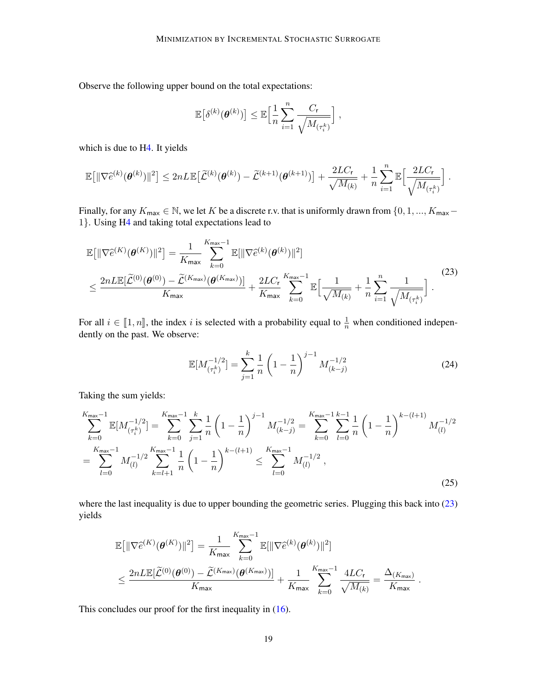<span id="page-18-0"></span>Observe the following upper bound on the total expectations:

$$
\mathbb{E}\big[\delta^{(k)}(\pmb{\theta}^{(k)})\big] \leq \mathbb{E}\Big[\frac{1}{n}\sum_{i=1}^n \frac{C_{\mathsf{r}}}{\sqrt{M_{(\tau_i^k)}}}\Big] ,
$$

which is due to [H4.](#page-6-1) It yields

$$
\mathbb{E}\!\left[\|\nabla \widehat{e}^{(k)}(\pmb{\theta}^{(k)})\|^2\right] \leq 2nL \mathbb{E}\!\left[\widetilde{\mathcal{L}}^{(k)}(\pmb{\theta}^{(k)}) - \widetilde{\mathcal{L}}^{(k+1)}(\pmb{\theta}^{(k+1)})\right] + \frac{2LC_{\text{r}}}{\sqrt{M_{(k)}}} + \frac{1}{n}\sum_{i=1}^n \mathbb{E}\!\left[\frac{2LC_{\text{r}}}{\sqrt{M_{(\tau_i^k)}}}\right].
$$

Finally, for any  $K_{\text{max}} \in \mathbb{N}$ , we let K be a discrete r.v. that is uniformly drawn from  $\{0, 1, ..., K_{\text{max}}-$ 1}. Using [H4](#page-6-1) and taking total expectations lead to

$$
\mathbb{E}\big[\|\nabla \widehat{e}^{(K)}(\boldsymbol{\theta}^{(K)})\|^2\big] = \frac{1}{K_{\max}} \sum_{k=0}^{K_{\max}-1} \mathbb{E}[\|\nabla \widehat{e}^{(k)}(\boldsymbol{\theta}^{(k)})\|^2]
$$
\n
$$
\leq \frac{2n L \mathbb{E}[\widetilde{\mathcal{L}}^{(0)}(\boldsymbol{\theta}^{(0)}) - \widetilde{\mathcal{L}}^{(K_{\max})}(\boldsymbol{\theta}^{(K_{\max})})]}{K_{\max}} + \frac{2L C_{\mathsf{r}}}{K_{\max}} \sum_{k=0}^{K_{\max}-1} \mathbb{E}\Big[\frac{1}{\sqrt{M_{(k)}}} + \frac{1}{n} \sum_{i=1}^n \frac{1}{\sqrt{M_{(\tau_i^k)}}}\Big].
$$
\n(23)

For all  $i \in [\![1,n]\!]$ , the index i is selected with a probability equal to  $\frac{1}{n}$  when conditioned independently on the next. We observe: dently on the past. We observe:

$$
\mathbb{E}[M_{(\tau_i^k)}^{-1/2}] = \sum_{j=1}^k \frac{1}{n} \left(1 - \frac{1}{n}\right)^{j-1} M_{(k-j)}^{-1/2}
$$
(24)

Taking the sum yields:

<span id="page-18-1"></span>
$$
\sum_{k=0}^{K_{\text{max}}-1} \mathbb{E}[M_{(\tau_i^k)}^{-1/2}] = \sum_{k=0}^{K_{\text{max}}-1} \sum_{j=1}^k \frac{1}{n} \left(1 - \frac{1}{n}\right)^{j-1} M_{(k-j)}^{-1/2} = \sum_{k=0}^{K_{\text{max}}-1} \sum_{l=0}^k \frac{1}{n} \left(1 - \frac{1}{n}\right)^{k-(l+1)} M_{(l)}^{-1/2}
$$

$$
= \sum_{l=0}^{K_{\text{max}}-1} M_{(l)}^{-1/2} \sum_{k=l+1}^{K_{\text{max}}-1} \frac{1}{n} \left(1 - \frac{1}{n}\right)^{k-(l+1)} \le \sum_{l=0}^{K_{\text{max}}-1} M_{(l)}^{-1/2},\tag{25}
$$

where the last inequality is due to upper bounding the geometric series. Plugging this back into [\(23\)](#page-18-0) yields

$$
\begin{split} &\mathbb{E}\!\left[\|\nabla \widehat{e}^{(K)}(\pmb{\theta}^{(K)})\|^2\right] = \frac{1}{K_{\mathsf{max}}}\!\!\sum_{k=0}^{K_{\mathsf{max}}-1}\!\mathbb{E}[\|\nabla \widehat{e}^{(k)}(\pmb{\theta}^{(k)})\|^2] \\ &\leq \frac{2nL\mathbb{E}[\widetilde{\mathcal{L}}^{(0)}(\pmb{\theta}^{(0)})-\widetilde{\mathcal{L}}^{(K_{\mathsf{max}})}(\pmb{\theta}^{(K_{\mathsf{max}})})]}{K_{\mathsf{max}}} + \frac{1}{K_{\mathsf{max}}}\sum_{k=0}^{K_{\mathsf{max}}-1}\frac{4LC_{\mathsf{r}}}{\sqrt{M_{(k)}}} = \frac{\Delta_{(K_{\mathsf{max}})}}{K_{\mathsf{max}}}~. \end{split}
$$

This concludes our proof for the first inequality in  $(16)$ .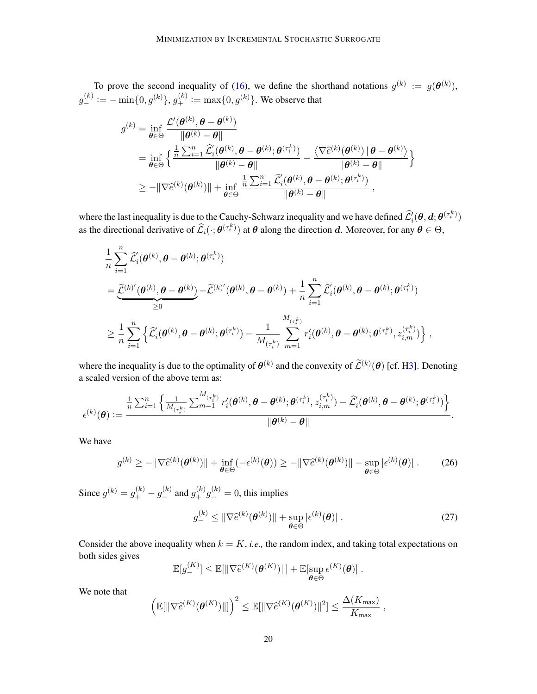To prove the second inequality of [\(16\)](#page-7-1), we define the shorthand notations  $g^{(k)} := g(\theta^{(k)})$ ,  $g_{-}^{(k)} := -\min\{0, g^{(k)}\}, g_{+}^{(k)} := \max\{0, g^{(k)}\}.$  We observe that

$$
g^{(k)} = \inf_{\boldsymbol{\theta} \in \Theta} \frac{\mathcal{L}'(\boldsymbol{\theta}^{(k)}, \boldsymbol{\theta} - \boldsymbol{\theta}^{(k)})}{\|\boldsymbol{\theta}^{(k)} - \boldsymbol{\theta}\|} = \inf_{\boldsymbol{\theta} \in \Theta} \left\{ \frac{\frac{1}{n} \sum_{i=1}^{n} \widehat{\mathcal{L}}'_{i}(\boldsymbol{\theta}^{(k)}, \boldsymbol{\theta} - \boldsymbol{\theta}^{(k)}; \boldsymbol{\theta}^{(\tau_i^k)})}{\|\boldsymbol{\theta}^{(k)} - \boldsymbol{\theta}\|} - \frac{\langle \nabla \widehat{e}^{(k)}(\boldsymbol{\theta}^{(k)}) \mid \boldsymbol{\theta} - \boldsymbol{\theta}^{(k)} \rangle}{\|\boldsymbol{\theta}^{(k)} - \boldsymbol{\theta}\|} \right\} \geq -\|\nabla \widehat{e}^{(k)}(\boldsymbol{\theta}^{(k)})\| + \inf_{\boldsymbol{\theta} \in \Theta} \frac{\frac{1}{n} \sum_{i=1}^{n} \widehat{\mathcal{L}}'_{i}(\boldsymbol{\theta}^{(k)}, \boldsymbol{\theta} - \boldsymbol{\theta}^{(k)}; \boldsymbol{\theta}^{(\tau_i^k)})}{\|\boldsymbol{\theta}^{(k)} - \boldsymbol{\theta}\|},
$$

where the last inequality is due to the Cauchy-Schwarz inequality and we have defined  $\hat{\mathcal{L}}_i^i(\theta, d; \theta^{(\tau_i^k)})$ as the directional derivative of  $\hat{\mathcal{L}}_i(\cdot; \theta^{(\tau_i^k)})$  at  $\theta$  along the direction d. Moreover, for any  $\theta \in \Theta$ ,

$$
\begin{aligned} &\frac{1}{n}\sum_{i=1}^n\widehat{\mathcal{L}}_i(\pmb{\theta}^{(k)},\pmb{\theta}-\pmb{\theta}^{(k)};\pmb{\theta}^{(\tau_i^k)})\\ &=\underbrace{\widetilde{\mathcal{L}}^{(k)'}(\pmb{\theta}^{(k)},\pmb{\theta}-\pmb{\theta}^{(k)})}_{\geq 0}-\widetilde{\mathcal{L}}^{(k)'}(\pmb{\theta}^{(k)},\pmb{\theta}-\pmb{\theta}^{(k)})+\frac{1}{n}\sum_{i=1}^n\widehat{\mathcal{L}}_i'(\pmb{\theta}^{(k)},\pmb{\theta}-\pmb{\theta}^{(k)};\pmb{\theta}^{(\tau_i^k)})\\ &\geq \frac{1}{n}\sum_{i=1}^n\left\{\widehat{\mathcal{L}}_i'(\pmb{\theta}^{(k)},\pmb{\theta}-\pmb{\theta}^{(k)};\pmb{\theta}^{(\tau_i^k)})-\frac{1}{M_{(\tau_i^k)}}\sum_{m=1}^{M_{(\tau_i^k)}}r_i'(\pmb{\theta}^{(k)},\pmb{\theta}-\pmb{\theta}^{(k)};\pmb{\theta}^{(\tau_i^k)},z_{i,m}^{(\tau_i^k)})\right\},\end{aligned}
$$

where the inequality is due to the optimality of  $\theta^{(k)}$  and the convexity of  $\tilde{\mathcal{L}}^{(k)}(\theta)$  [cf. [H3\]](#page-6-2). Denoting a scaled version of the above term as:

$$
\epsilon^{(k)}(\boldsymbol{\theta}) := \frac{\frac{1}{n}\sum_{i=1}^n\left\{\frac{1}{M_{(\tau_i^k)}}\sum_{m=1}^{M_{(\tau_i^k)}}r_i'(\boldsymbol{\theta}^{(k)},\boldsymbol{\theta}-\boldsymbol{\theta}^{(k)};\boldsymbol{\theta}^{(\tau_i^k)},z_{i,m}^{(\tau_i^k)})-\widehat{\mathcal{L}}_i'(\boldsymbol{\theta}^{(k)},\boldsymbol{\theta}-\boldsymbol{\theta}^{(k)};\boldsymbol{\theta}^{(\tau_i^k)})\right\}}{||\boldsymbol{\theta}^{(k)}-\boldsymbol{\theta}||}.
$$

We have

$$
g^{(k)} \ge -\|\nabla \widehat{e}^{(k)}(\boldsymbol{\theta}^{(k)})\| + \inf_{\boldsymbol{\theta} \in \Theta} (-\epsilon^{(k)}(\boldsymbol{\theta})) \ge -\|\nabla \widehat{e}^{(k)}(\boldsymbol{\theta}^{(k)})\| - \sup_{\boldsymbol{\theta} \in \Theta} |\epsilon^{(k)}(\boldsymbol{\theta})|.
$$
 (26)

Since  $g^{(k)} = g_+^{(k)} - g_-^{(k)}$  and  $g_+^{(k)}g_-^{(k)} = 0$ , this implies

<span id="page-19-0"></span>
$$
g_{-}^{(k)} \leq \|\nabla \widehat{e}^{(k)}(\boldsymbol{\theta}^{(k)})\| + \sup_{\boldsymbol{\theta} \in \Theta} |\epsilon^{(k)}(\boldsymbol{\theta})| \; . \tag{27}
$$

Consider the above inequality when  $k = K$ , *i.e.*, the random index, and taking total expectations on both sides gives

$$
\mathbb{E}[g_{-}^{(K)}] \leq \mathbb{E}[\|\nabla \widehat{e}^{(K)}(\boldsymbol{\theta}^{(K)})\|] + \mathbb{E}[\sup_{\boldsymbol{\theta} \in \Theta} \epsilon^{(K)}(\boldsymbol{\theta})].
$$

We note that

$$
\left(\mathbb{E}[\|\nabla \widehat{e}^{(K)}(\boldsymbol{\theta}^{(K)})\|]\right)^2 \leq \mathbb{E}[\|\nabla \widehat{e}^{(K)}(\boldsymbol{\theta}^{(K)})\|^2] \leq \frac{\Delta(K_{\max})}{K_{\max}}\;,
$$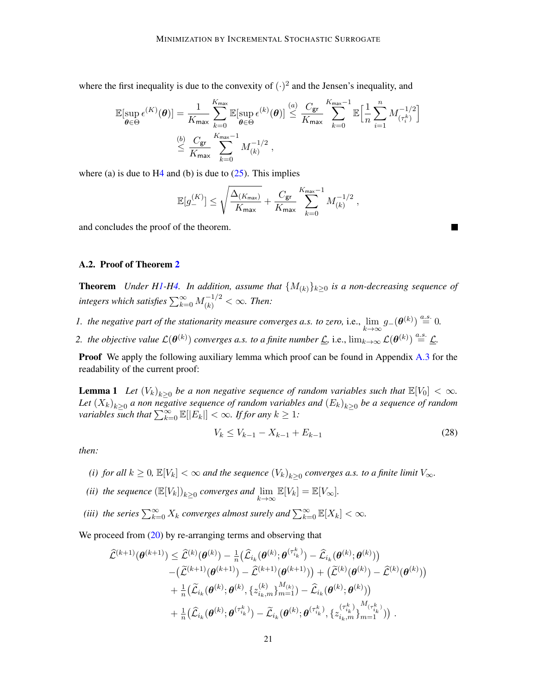where the first inequality is due to the convexity of  $(\cdot)^2$  and the Jensen's inequality, and

$$
\mathbb{E}[\sup_{\theta \in \Theta} \epsilon^{(K)}(\theta)] = \frac{1}{K_{\max}} \sum_{k=0}^{K_{\max}} \mathbb{E}[\sup_{\theta \in \Theta} \epsilon^{(k)}(\theta)] \stackrel{(a)}{\leq} \frac{C_{\text{gr}}}{K_{\max}} \sum_{k=0}^{K_{\max}-1} \mathbb{E} \Big[ \frac{1}{n} \sum_{i=1}^{n} M_{(\tau_i^k)}^{-1/2} \Big]
$$
  

$$
\stackrel{(b)}{\leq} \frac{C_{\text{gr}}}{K_{\max}} \sum_{k=0}^{K_{\max}-1} M_{(k)}^{-1/2} ,
$$

where (a) is due to  $H_4$  and (b) is due to  $(25)$ . This implies

$$
\mathbb{E}[g_-^{(K)}] \leq \sqrt{\frac{\Delta_{(K_{\max})}}{K_{\max}}} + \frac{C_{\rm gr}}{K_{\max}} \sum_{k=0}^{K_{\max}-1} M_{(k)}^{-1/2} \;,
$$

and concludes the proof of the theorem.

#### A.2. Proof of Theorem [2](#page-8-2)

**Theorem** *Under [H1-](#page-2-1)[H4.](#page-6-1)* In addition, assume that  ${M_{(k)}}_{k\geq0}$  is a non-decreasing sequence of integers which satisfies  $\sum_{k=0}^{\infty} M_{(k)}^{-1/2} < \infty$ . Then:

- *1. the negative part of the stationarity measure converges a.s. to zero, i.e.,*  $\lim_{k\to\infty} g_-(\boldsymbol{\theta}^{(k)}) \stackrel{a.s.}{=} 0$ .
- 2. the objective value  $\mathcal{L}(\theta^{(k)})$  converges a.s. to a finite number  $\underline{\mathcal{L}}$ , i.e.,  $\lim_{k\to\infty}\mathcal{L}(\theta^{(k)})\stackrel{a.s.}{=}\underline{\mathcal{L}}$ .

Proof We apply the following auxiliary lemma which proof can be found in Appendix [A.3](#page-22-0) for the readability of the current proof:

**Lemma 1** Let  $(V_k)_{k\geq 0}$  be a non negative sequence of random variables such that  $\mathbb{E}[V_0]<\infty$ . Let  $(X_k)_{k\geq 0}$  a non negative sequence of random variables and  $(E_k)_{k\geq 0}$  be a sequence of random *variables such that*  $\sum_{k=0}^{\infty} \mathbb{E}[|E_k|] < \infty$ . If for any  $k \geq 1$ :

<span id="page-20-0"></span>
$$
V_k \le V_{k-1} - X_{k-1} + E_{k-1} \tag{28}
$$

*then:*

- *(i) for all*  $k \geq 0$ ,  $\mathbb{E}[V_k] < \infty$  *and the sequence*  $(V_k)_{k \geq 0}$  *converges a.s. to a finite limit*  $V_{\infty}$ *.*
- *(ii) the sequence*  $(\mathbb{E}[V_k])_{k \geq 0}$  *converges and*  $\lim_{k \to \infty} \mathbb{E}[V_k] = \mathbb{E}[V_{\infty}]$ *.*
- (iii) the series  $\sum_{k=0}^{\infty} X_k$  converges almost surely and  $\sum_{k=0}^{\infty} \mathbb{E}[X_k] < \infty$ .

We proceed from [\(20\)](#page-17-0) by re-arranging terms and observing that

<span id="page-20-1"></span>
$$
\begin{aligned} \widehat{\mathcal{L}}^{(k+1)} (\boldsymbol{\theta}^{(k+1)}) & \leq \widehat{\mathcal{L}}^{(k)} (\boldsymbol{\theta}^{(k)}) - \tfrac{1}{n} \big( \widehat{\mathcal{L}}_{i_k} (\boldsymbol{\theta}^{(k)} ; \boldsymbol{\theta}^{(\tau_{i_k}^k)}) - \widehat{\mathcal{L}}_{i_k} (\boldsymbol{\theta}^{(k)} ; \boldsymbol{\theta}^{(k)}) \big) \\ & \quad - \big( \widetilde{\mathcal{L}}^{(k+1)} (\boldsymbol{\theta}^{(k+1)}) - \widehat{\mathcal{L}}^{(k+1)} (\boldsymbol{\theta}^{(k+1)}) \big) + \big( \widetilde{\mathcal{L}}^{(k)} (\boldsymbol{\theta}^{(k)}) - \widehat{\mathcal{L}}^{(k)} (\boldsymbol{\theta}^{(k)}) \big) \\ & \quad + \tfrac{1}{n} \big( \widetilde{\mathcal{L}}_{i_k} (\boldsymbol{\theta}^{(k)} ; \boldsymbol{\theta}^{(k)}, \{z_{i_k,m}^{(k)}\}_{m=1}^{M_{(k)}}) - \widehat{\mathcal{L}}_{i_k} (\boldsymbol{\theta}^{(k)} ; \boldsymbol{\theta}^{(k)}) \big) \\ & \quad + \tfrac{1}{n} \big( \widehat{\mathcal{L}}_{i_k} (\boldsymbol{\theta}^{(k)} ; \boldsymbol{\theta}^{(\tau_{i_k}^k)}) - \widetilde{\mathcal{L}}_{i_k} (\boldsymbol{\theta}^{(k)} ; \boldsymbol{\theta}^{(\tau_{i_k}^k)}, \{z_{i_k,m}^{(\tau_{i_k}^k)}\}_{m=1}^{M_{(\tau_{i_k}^k)}}) \big) \end{aligned}.
$$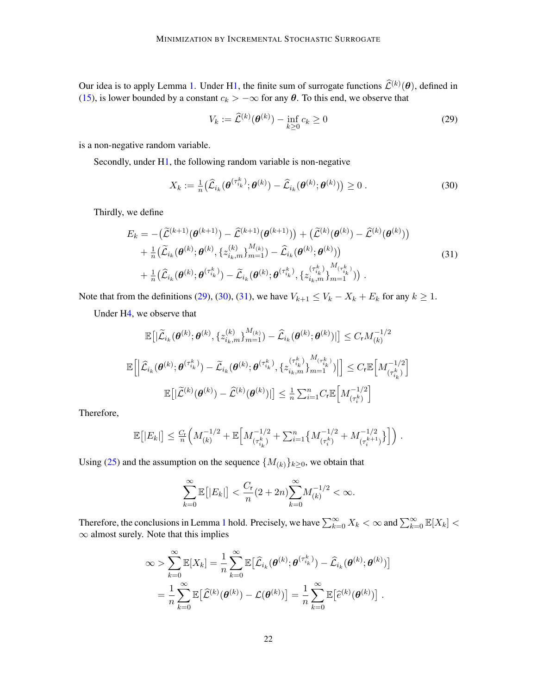Our idea is to apply Lemma [1.](#page-20-0) Under [H1,](#page-2-1) the finite sum of surrogate functions  $\hat{\mathcal{L}}^{(k)}(\theta)$ , defined in [\(15\)](#page-7-2), is lower bounded by a constant  $c_k > -\infty$  for any  $\theta$ . To this end, we observe that

$$
V_k := \widehat{\mathcal{L}}^{(k)}(\boldsymbol{\theta}^{(k)}) - \inf_{k \ge 0} c_k \ge 0
$$
\n(29)

is a non-negative random variable.

Secondly, under [H1,](#page-2-1) the following random variable is non-negative

<span id="page-21-0"></span>
$$
X_k := \frac{1}{n} \big( \widehat{\mathcal{L}}_{i_k}(\boldsymbol{\theta}^{(\tau_{i_k}^k)}; \boldsymbol{\theta}^{(k)}) - \widehat{\mathcal{L}}_{i_k}(\boldsymbol{\theta}^{(k)}; \boldsymbol{\theta}^{(k)}) \big) \ge 0.
$$
 (30)

<span id="page-21-1"></span>Thirdly, we define

$$
E_k = -(\widetilde{\mathcal{L}}^{(k+1)}(\theta^{(k+1)}) - \widehat{\mathcal{L}}^{(k+1)}(\theta^{(k+1)})) + (\widetilde{\mathcal{L}}^{(k)}(\theta^{(k)}) - \widehat{\mathcal{L}}^{(k)}(\theta^{(k)})) + \frac{1}{n}(\widetilde{\mathcal{L}}_{i_k}(\theta^{(k)};\theta^{(k)},\{z_{i_k,m}^{(k)}\}_{m=1}^{M_{(k)}}) - \widehat{\mathcal{L}}_{i_k}(\theta^{(k)};\theta^{(k)})) + \frac{1}{n}(\widehat{\mathcal{L}}_{i_k}(\theta^{(k)};\theta^{(\tau_{i_k}^k)}) - \widetilde{\mathcal{L}}_{i_k}(\theta^{(k)};\theta^{(\tau_{i_k}^k)},\{z_{i_k,m}^{(\tau_{i_k}^k)}\}_{m=1}^{M_{(\tau_{i_k}^k)}})) .
$$
\n(31)

Note that from the definitions [\(29\)](#page-20-1), [\(30\)](#page-21-0), [\(31\)](#page-21-1), we have  $V_{k+1} \leq V_k - X_k + E_k$  for any  $k \geq 1$ .

Under [H4,](#page-6-1) we observe that

<span id="page-21-2"></span>
$$
\mathbb{E}\left[|\widetilde{\mathcal{L}}_{i_{k}}(\boldsymbol{\theta}^{(k)};\boldsymbol{\theta}^{(k)},\{z_{i_{k},m}^{(k)}\}_{m=1}^{M_{(k)}})-\widehat{\mathcal{L}}_{i_{k}}(\boldsymbol{\theta}^{(k)};\boldsymbol{\theta}^{(k)})|\right] \leq C_{\mathsf{r}}M_{(k)}^{-1/2}
$$
\n
$$
\mathbb{E}\left[\left|\widehat{\mathcal{L}}_{i_{k}}(\boldsymbol{\theta}^{(k)};\boldsymbol{\theta}^{(\tau_{i_{k}}^{k})})-\widetilde{\mathcal{L}}_{i_{k}}(\boldsymbol{\theta}^{(k)};\boldsymbol{\theta}^{(\tau_{i_{k}}^{k})},\{z_{i_{k},m}^{(\tau_{i_{k}}^{k}}\}_{m=1}^{M_{(\tau_{i_{k}}^{k})}})\right|\right] \leq C_{\mathsf{r}}\mathbb{E}\left[M_{(\tau_{i_{k}}^{k})}^{-1/2}\right]
$$
\n
$$
\mathbb{E}\left[|\widetilde{\mathcal{L}}^{(k)}(\boldsymbol{\theta}^{(k)})-\widehat{\mathcal{L}}^{(k)}(\boldsymbol{\theta}^{(k)})|\right] \leq \frac{1}{n}\sum_{i=1}^{n}C_{\mathsf{r}}\mathbb{E}\left[M_{(\tau_{i}^{k})}^{-1/2}\right]
$$

Therefore,

$$
\mathbb{E}[|E_k|] \leq \frac{C_r}{n} \Big( M_{(k)}^{-1/2} + \mathbb{E} \Big[ M_{(\tau_{i_k}^k)}^{-1/2} + \sum_{i=1}^n \big\{ M_{(\tau_i^k)}^{-1/2} + M_{(\tau_i^{k+1})}^{-1/2} \big\} \Big] \Big) .
$$

Using [\(25\)](#page-18-1) and the assumption on the sequence  $\{M_{(k)}\}_{k\geq 0}$ , we obtain that

$$
\sum_{k=0}^{\infty} \mathbb{E}\left[|E_k|\right] < \frac{C_{\mathbf{r}}}{n} (2+2n) \sum_{k=0}^{\infty} M_{(k)}^{-1/2} < \infty.
$$

Therefore, the conclusions in Lemma [1](#page-20-0) hold. Precisely, we have  $\sum_{k=0}^{\infty} X_k < \infty$  and  $\sum_{k=0}^{\infty} \mathbb{E}[X_k] <$ ∞ almost surely. Note that this implies

$$
\infty > \sum_{k=0}^{\infty} \mathbb{E}[X_k] = \frac{1}{n} \sum_{k=0}^{\infty} \mathbb{E}[\widehat{\mathcal{L}}_{i_k}(\boldsymbol{\theta}^{(k)};\boldsymbol{\theta}^{(\tau_{i_k}^k)}) - \widehat{\mathcal{L}}_{i_k}(\boldsymbol{\theta}^{(k)};\boldsymbol{\theta}^{(k)})]
$$
  
= 
$$
\frac{1}{n} \sum_{k=0}^{\infty} \mathbb{E}[\widehat{\mathcal{L}}^{(k)}(\boldsymbol{\theta}^{(k)}) - \mathcal{L}(\boldsymbol{\theta}^{(k)})] = \frac{1}{n} \sum_{k=0}^{\infty} \mathbb{E}[\widehat{e}^{(k)}(\boldsymbol{\theta}^{(k)})].
$$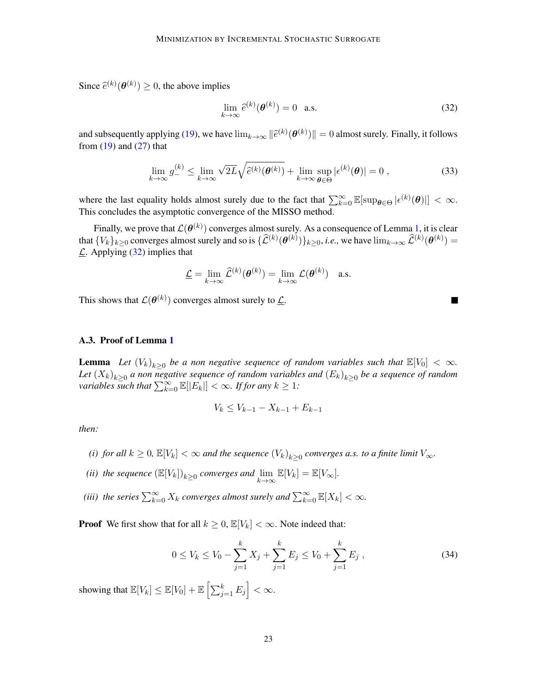Since  $\hat{e}^{(k)}(\theta^{(k)}) \geq 0$ , the above implies

$$
\lim_{k \to \infty} \hat{e}^{(k)}(\boldsymbol{\theta}^{(k)}) = 0 \quad \text{a.s.}
$$
\n(32)

and subsequently applying [\(19\)](#page-16-1), we have  $\lim_{k\to\infty} ||\hat{e}^{(k)}(\theta^{(k)})|| = 0$  almost surely. Finally, it follows from (10) and (27) that from  $(19)$  and  $(27)$  that

$$
\lim_{k \to \infty} g_-^{(k)} \le \lim_{k \to \infty} \sqrt{2L} \sqrt{\hat{e}^{(k)}(\boldsymbol{\theta}^{(k)})} + \lim_{k \to \infty} \sup_{\boldsymbol{\theta} \in \Theta} |\epsilon^{(k)}(\boldsymbol{\theta})| = 0 ,
$$
\n(33)

where the last equality holds almost surely due to the fact that  $\sum_{k=0}^{\infty} \mathbb{E}[\sup_{\theta \in \Theta} |\epsilon^{(k)}(\theta)|] < \infty$ . This concludes the asymptotic convergence of the MISSO method.

Finally, we prove that  $\mathcal{L}(\bm{\theta}^{(k)})$  converges almost surely. As a consequence of Lemma [1,](#page-20-0) it is clear that  $\{V_k\}_{k\geq 0}$  converges almost surely and so is  $\{\widehat{\mathcal{L}}^{(k)}(\theta^{(k)})\}_{k\geq 0}$ , *i.e.*, we have  $\lim_{k\to\infty}\widehat{\mathcal{L}}^{(k)}(\theta^{(k)})=$  $\mathcal{L}$ . Applying [\(32\)](#page-21-2) implies that

$$
\underline{\mathcal{L}} = \lim_{k \to \infty} \widehat{\mathcal{L}}^{(k)}(\boldsymbol{\theta}^{(k)}) = \lim_{k \to \infty} \mathcal{L}(\boldsymbol{\theta}^{(k)}) \quad \text{a.s.}
$$

This shows that  $\mathcal{L}(\boldsymbol{\theta}^{(k)})$  converges almost surely to  $\underline{\mathcal{L}}$ .

#### <span id="page-22-0"></span>A.3. Proof of Lemma [1](#page-20-0)

**Lemma** Let  $(V_k)_{k\geq 0}$  be a non negative sequence of random variables such that  $\mathbb{E}[V_0] < \infty$ . Let  $(X_k)_{k\geq 0}$  a non negative sequence of random variables and  $(E_k)_{k\geq 0}$  be a sequence of random *variables such that*  $\sum_{k=0}^{\infty} \mathbb{E}[|E_k|] < \infty$ . *If for any*  $k \geq 1$ :

$$
V_k \le V_{k-1} - X_{k-1} + E_{k-1}
$$

*then:*

- *(i) for all*  $k \geq 0$ ,  $\mathbb{E}[V_k] < \infty$  *and the sequence*  $(V_k)_{k \geq 0}$  *converges a.s. to a finite limit*  $V_{\infty}$ *.*
- *(ii) the sequence*  $(\mathbb{E}[V_k])_{k \geq 0}$  *converges and*  $\lim_{k \to \infty} \mathbb{E}[V_k] = \mathbb{E}[V_{\infty}]$ *.*
- (iii) the series  $\sum_{k=0}^{\infty} X_k$  converges almost surely and  $\sum_{k=0}^{\infty} \mathbb{E}[X_k] < \infty$ .

**Proof** We first show that for all  $k \geq 0$ ,  $\mathbb{E}[V_k] < \infty$ . Note indeed that:

$$
0 \le V_k \le V_0 - \sum_{j=1}^k X_j + \sum_{j=1}^k E_j \le V_0 + \sum_{j=1}^k E_j,
$$
\n(34)

showing that  $\mathbb{E}[V_k] \leq \mathbb{E}[V_0] + \mathbb{E}\left[\sum_{j=1}^k E_j\right] < \infty.$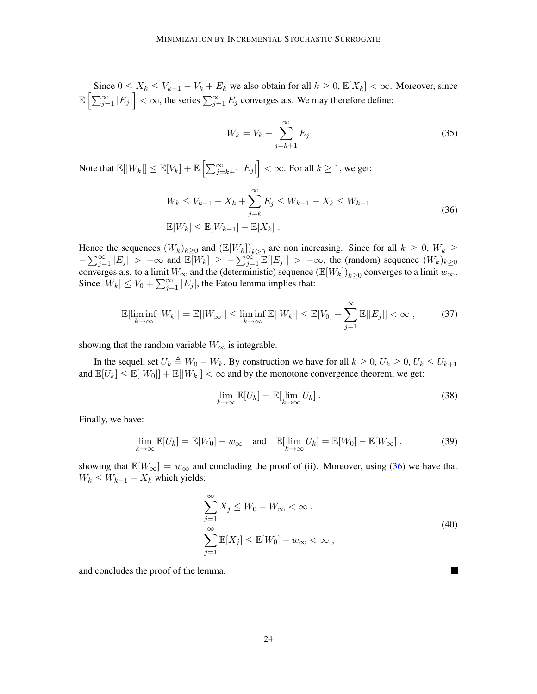Since  $0 \le X_k \le V_{k-1} - V_k + E_k$  we also obtain for all  $k \ge 0$ ,  $\mathbb{E}[X_k] < \infty$ . Moreover, since  $\mathbb{E}\left[\sum_{j=1}^{\infty}|E_j|\right]<\infty$ , the series  $\sum_{j=1}^{\infty}E_j$  converges a.s. We may therefore define:

$$
W_k = V_k + \sum_{j=k+1}^{\infty} E_j
$$
\n(35)

Note that  $\mathbb{E}[|W_k|] \leq \mathbb{E}[V_k] + \mathbb{E}\left[\sum_{j=k+1}^{\infty} |E_j|\right] < \infty.$  For all  $k \geq 1$ , we get:

$$
W_k \le V_{k-1} - X_k + \sum_{j=k}^{\infty} E_j \le W_{k-1} - X_k \le W_{k-1}
$$
  

$$
\mathbb{E}[W_k] \le \mathbb{E}[W_{k-1}] - \mathbb{E}[X_k].
$$
 (36)

<span id="page-23-0"></span>Hence the sequences  $(W_k)_{k\geq 0}$  and  $(\mathbb{E}[W_k])_{k\geq 0}$  are non increasing. Since for all  $k \geq 0$ ,  $W_k \geq 0$  $-\sum_{j=1}^{\infty} |E_j| > -\infty$  and  $\mathbb{E}[W_k] \geq -\sum_{j=1}^{\infty} \mathbb{E}[|E_j|] > -\infty$ , the (random) sequence  $(W_k)_{k\geq 0}$ converges a.s. to a limit  $W_{\infty}$  and the (deterministic) sequence  $(\mathbb{E}[W_k])_{k\geq 0}$  converges to a limit  $w_{\infty}$ . Since  $|W_k| \le V_0 + \sum_{j=1}^{\infty} |E_j|$ , the Fatou lemma implies that:

$$
\mathbb{E}[\liminf_{k \to \infty} |W_k|] = \mathbb{E}[|W_\infty|] \le \liminf_{k \to \infty} \mathbb{E}[|W_k|] \le \mathbb{E}[V_0] + \sum_{j=1}^{\infty} \mathbb{E}[|E_j|] < \infty \,, \tag{37}
$$

showing that the random variable  $W_{\infty}$  is integrable.

In the sequel, set  $U_k \triangleq W_0 - W_k$ . By construction we have for all  $k \geq 0$ ,  $U_k \geq 0$ ,  $U_k \leq U_{k+1}$ and  $\mathbb{E}[U_k] \leq \mathbb{E}[|W_0|] + \mathbb{E}[|W_k|] < \infty$  and by the monotone convergence theorem, we get:

$$
\lim_{k \to \infty} \mathbb{E}[U_k] = \mathbb{E}[\lim_{k \to \infty} U_k]. \tag{38}
$$

Finally, we have:

$$
\lim_{k \to \infty} \mathbb{E}[U_k] = \mathbb{E}[W_0] - w_{\infty} \quad \text{and} \quad \mathbb{E}[\lim_{k \to \infty} U_k] = \mathbb{E}[W_0] - \mathbb{E}[W_{\infty}]. \tag{39}
$$

showing that  $\mathbb{E}[W_\infty] = w_\infty$  and concluding the proof of (ii). Moreover, using [\(36\)](#page-23-0) we have that  $W_k \leq W_{k-1} - X_k$  which yields:

$$
\sum_{j=1}^{\infty} X_j \le W_0 - W_{\infty} < \infty \,,
$$
\n
$$
\sum_{j=1}^{\infty} \mathbb{E}[X_j] \le \mathbb{E}[W_0] - w_{\infty} < \infty \,,
$$
\n
$$
(40)
$$

**In the Second** 

and concludes the proof of the lemma.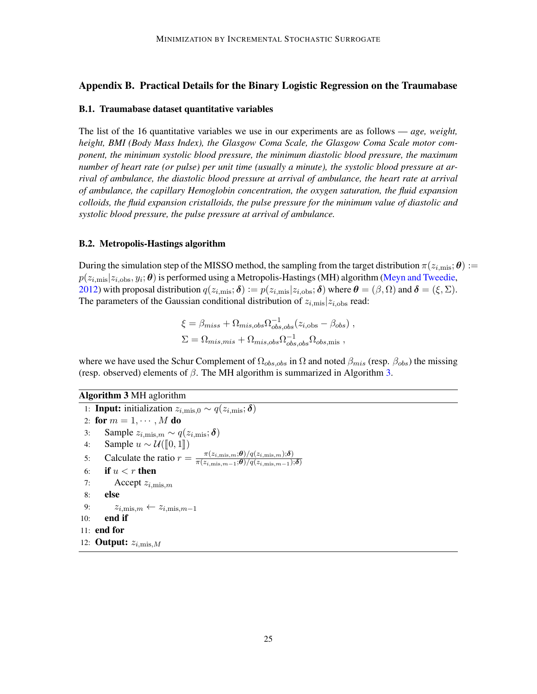# <span id="page-24-1"></span>Appendix B. Practical Details for the Binary Logistic Regression on the Traumabase

#### <span id="page-24-0"></span>B.1. Traumabase dataset quantitative variables

The list of the 16 quantitative variables we use in our experiments are as follows — *age, weight, height, BMI (Body Mass Index), the Glasgow Coma Scale, the Glasgow Coma Scale motor component, the minimum systolic blood pressure, the minimum diastolic blood pressure, the maximum number of heart rate (or pulse) per unit time (usually a minute), the systolic blood pressure at arrival of ambulance, the diastolic blood pressure at arrival of ambulance, the heart rate at arrival of ambulance, the capillary Hemoglobin concentration, the oxygen saturation, the fluid expansion colloids, the fluid expansion cristalloids, the pulse pressure for the minimum value of diastolic and systolic blood pressure, the pulse pressure at arrival of ambulance.*

#### B.2. Metropolis-Hastings algorithm

During the simulation step of the MISSO method, the sampling from the target distribution  $\pi(z_{i,\text{mis}}; \theta) :=$  $p(z_{i,\text{mis}}|z_{i,\text{obs}}, y_i; \theta)$  is performed using a Metropolis-Hastings (MH) algorithm [\(Meyn and Tweedie,](#page-14-14) [2012\)](#page-14-14) with proposal distribution  $q(z_{i,\text{mis}}; \delta) := p(z_{i,\text{mis}}|z_{i,\text{obs}}; \delta)$  where  $\theta = (\beta, \Omega)$  and  $\delta = (\xi, \Sigma)$ . The parameters of the Gaussian conditional distribution of  $z_{i,\text{mis}}|z_{i,\text{obs}}|$  read:

$$
\xi = \beta_{miss} + \Omega_{mis,obs} \Omega_{obs,obs}^{-1} (z_{i,obs} - \beta_{obs}),
$$
  
\n
$$
\Sigma = \Omega_{mis,mis} + \Omega_{mis,obs} \Omega_{obs,obs}^{-1} \Omega_{obs,mis} ,
$$

<span id="page-24-3"></span>where we have used the Schur Complement of  $\Omega_{obs,obs}$  in  $\Omega$  and noted  $\beta_{mis}$  (resp.  $\beta_{obs}$ ) the missing (resp. observed) elements of  $\beta$ . The MH algorithm is summarized in Algorithm [3.](#page-24-2)

<span id="page-24-2"></span>Algorithm 3 MH aglorithm

```
1: Input: initialization z_{i,\text{mis},0} \sim q(z_{i,\text{mis}}; \delta)2: for m = 1, \cdots, M do
 3: Sample z_{i,\text{mis},m} \sim q(z_{i,\text{mis}}; \delta)4: Sample u \sim \mathcal{U}(\llbracket 0, 1 \rrbracket)<br>5: Calculate the ratio r =5: Calculate the ratio r = \frac{\pi(z_{i,\text{mis}},m,\theta)/q(z_{i,\text{mis}},m,\delta)}{\pi(z_{i,\text{mis}},\theta)/q(z_{i,\text{mis}},m,\delta)}\pi(z_{i,\text{mis},m-1}; \boldsymbol{\theta})/q(z_{i,\text{mis},m-1}); \boldsymbol{\delta})6: if u < r then
 7: Accept z_{i,\text{mis.}m}8: else
 9: z_{i,\text{mis},m} \leftarrow z_{i,\text{mis},m-1}10: end if
11: end for
12: Output: z_{i,\text{mis},M}
```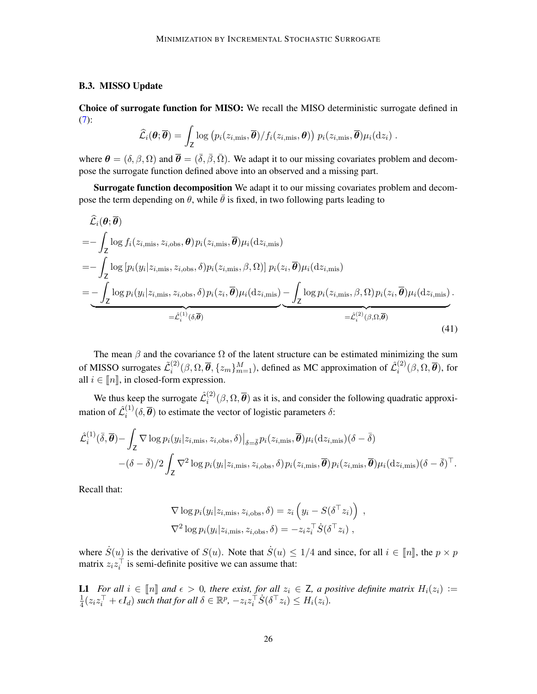#### <span id="page-25-0"></span>B.3. MISSO Update

Choice of surrogate function for MISO: We recall the MISO deterministic surrogate defined in [\(7\)](#page-4-3):

$$
\widehat{\mathcal{L}}_i(\boldsymbol{\theta};\overline{\boldsymbol{\theta}})=\int_{\text{\sf Z}}\log\big(p_i(z_{i,\text{mis}},\overline{\boldsymbol{\theta}})/f_i(z_{i,\text{mis}},\boldsymbol{\theta})\big)\,p_i(z_{i,\text{mis}},\overline{\boldsymbol{\theta}})\mu_i(\mathrm{d}z_i)\;.
$$

where  $\theta = (\delta, \beta, \Omega)$  and  $\overline{\theta} = (\overline{\delta}, \overline{\beta}, \overline{\Omega})$ . We adapt it to our missing covariates problem and decompose the surrogate function defined above into an observed and a missing part.

Surrogate function decomposition We adapt it to our missing covariates problem and decompose the term depending on  $\theta$ , while  $\theta$  is fixed, in two following parts leading to

$$
\hat{\mathcal{L}}_{i}(\theta; \overline{\theta})
$$
\n
$$
= -\int_{Z} \log f_{i}(z_{i,\text{mis}}, z_{i,\text{obs}}, \theta) p_{i}(z_{i,\text{mis}}, \overline{\theta}) \mu_{i}(\text{d}z_{i,\text{mis}})
$$
\n
$$
= -\int_{Z} \log [p_{i}(y_{i}|z_{i,\text{mis}}, z_{i,\text{obs}}, \delta) p_{i}(z_{i,\text{mis}}, \beta, \Omega)] p_{i}(z_{i}, \overline{\theta}) \mu_{i}(\text{d}z_{i,\text{mis}})
$$
\n
$$
= -\int_{Z} \log p_{i}(y_{i}|z_{i,\text{mis}}, z_{i,\text{obs}}, \delta) p_{i}(z_{i}, \overline{\theta}) \mu_{i}(\text{d}z_{i,\text{mis}}) - \int_{Z} \log p_{i}(z_{i,\text{mis}}, \beta, \Omega) p_{i}(z_{i}, \overline{\theta}) \mu_{i}(\text{d}z_{i,\text{mis}}).
$$
\n
$$
= \hat{\mathcal{L}}_{i}^{(1)}(\delta, \overline{\theta})
$$
\n
$$
= \hat{\mathcal{L}}_{i}^{(2)}(\beta, \Omega, \overline{\theta})
$$
\n(41)

The mean  $\beta$  and the covariance  $\Omega$  of the latent structure can be estimated minimizing the sum of MISSO surrogates  $\tilde{\mathcal{L}}_i^{(2)}$  $\hat{g}^{(2)}_i(\beta, \Omega, \overline{\theta}, \{z_m\}_{m=1}^M)$ , defined as MC approximation of  $\hat{\mathcal{L}}_i^{(2)}$  $\mathcal{C}_i^{(2)}(\beta,\Omega,\boldsymbol{\theta}),$  for all  $i \in \llbracket n \rrbracket$ , in closed-form expression.

We thus keep the surrogate  $\hat{\mathcal{L}}_i^{(2)}$  $\binom{1}{i}(\beta,\Omega,\boldsymbol{\theta})$  as it is, and consider the following quadratic approximation of  $\hat{\mathcal{L}}_i^{(1)}$  $i^{(1)}(\delta, \theta)$  to estimate the vector of logistic parameters  $\delta$ :

<span id="page-25-1"></span>
$$
\hat{\mathcal{L}}_{i}^{(1)}(\bar{\delta}, \overline{\theta}) - \int_{\mathsf{Z}} \nabla \log p_{i}(y_{i}|z_{i,\text{mis}}, z_{i,\text{obs}}, \delta)|_{\delta = \bar{\delta}} p_{i}(z_{i,\text{mis}}, \overline{\theta}) \mu_{i}(\mathrm{d}z_{i,\text{mis}})(\delta - \bar{\delta}) - (\delta - \bar{\delta})/2 \int_{\mathsf{Z}} \nabla^{2} \log p_{i}(y_{i}|z_{i,\text{mis}}, z_{i,\text{obs}}, \delta) p_{i}(z_{i,\text{mis}}, \overline{\theta}) p_{i}(z_{i,\text{mis}}, \overline{\theta}) \mu_{i}(\mathrm{d}z_{i,\text{mis}})(\delta - \bar{\delta})^{\top}.
$$

Recall that:

$$
\nabla \log p_i(y_i|z_{i,\text{mis}}, z_{i,\text{obs}}, \delta) = z_i \left( y_i - S(\delta^\top z_i) \right) ,
$$
  

$$
\nabla^2 \log p_i(y_i|z_{i,\text{mis}}, z_{i,\text{obs}}, \delta) = -z_i z_i^\top \dot{S}(\delta^\top z_i) ,
$$

where  $\dot{S}(u)$  is the derivative of  $S(u)$ . Note that  $\dot{S}(u) \le 1/4$  and since, for all  $i \in [\![n]\!]$ , the  $p \times p$  matrix  $z_i z_i^\top$  is semi-definite positive we can assume that:

L1 *For all*  $i \in [\![n]\!]$  and  $\epsilon > 0$ , there exist, for all  $z_i \in \mathsf{Z}$ , a positive definite matrix  $H_i(z_i) :=$ 1  $\frac{1}{4}(z_iz_i^{\top} + \epsilon I_d)$  such that for all  $\delta \in \mathbb{R}^p$ ,  $-z_iz_i^{\top} \dot{S}(\delta^{\top} z_i) \leq H_i(z_i)$ .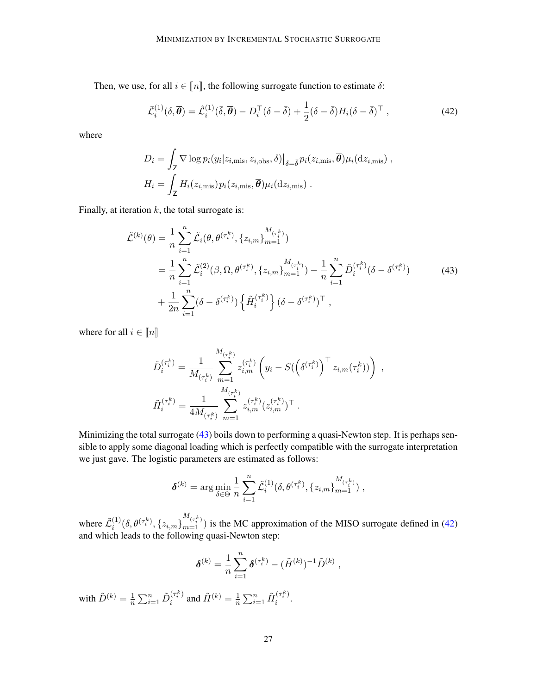Then, we use, for all  $i \in [n]$ , the following surrogate function to estimate  $\delta$ :

$$
\bar{\mathcal{L}}_i^{(1)}(\delta, \overline{\theta}) = \hat{\mathcal{L}}_i^{(1)}(\overline{\delta}, \overline{\theta}) - D_i^{\top}(\delta - \overline{\delta}) + \frac{1}{2}(\delta - \overline{\delta})H_i(\delta - \overline{\delta})^{\top}, \qquad (42)
$$

<span id="page-26-0"></span>where

$$
D_i = \int_Z \nabla \log p_i(y_i|z_{i,\text{mis}}, z_{i,\text{obs}}, \delta)|_{\delta = \bar{\delta}} p_i(z_{i,\text{mis}}, \overline{\theta}) \mu_i(\text{d}z_{i,\text{mis}}),
$$
  

$$
H_i = \int_Z H_i(z_{i,\text{mis}}) p_i(z_{i,\text{mis}}, \overline{\theta}) \mu_i(\text{d}z_{i,\text{mis}}).
$$

Finally, at iteration  $k$ , the total surrogate is:

$$
\tilde{\mathcal{L}}^{(k)}(\theta) = \frac{1}{n} \sum_{i=1}^{n} \tilde{\mathcal{L}}_{i}(\theta, \theta^{(\tau_{i}^{k})}, \{z_{i,m}\}_{m=1}^{M_{(\tau_{i}^{k})}})
$$
\n
$$
= \frac{1}{n} \sum_{i=1}^{n} \tilde{\mathcal{L}}_{i}^{(2)}(\beta, \Omega, \theta^{(\tau_{i}^{k})}, \{z_{i,m}\}_{m=1}^{M_{(\tau_{i}^{k})}}) - \frac{1}{n} \sum_{i=1}^{n} \tilde{D}_{i}^{(\tau_{i}^{k})}(\delta - \delta^{(\tau_{i}^{k})})
$$
\n
$$
+ \frac{1}{2n} \sum_{i=1}^{n} (\delta - \delta^{(\tau_{i}^{k})}) \left\{ \tilde{H}_{i}^{(\tau_{i}^{k})} \right\} (\delta - \delta^{(\tau_{i}^{k})})^{\top},
$$
\n(43)

where for all  $i \in \llbracket n \rrbracket$ 

$$
\tilde{D}_{i}^{(\tau_{i}^{k})} = \frac{1}{M_{(\tau_{i}^{k})}} \sum_{m=1}^{M_{(\tau_{i}^{k})}} z_{i,m}^{(\tau_{i}^{k})} \left(y_{i} - S(\left(\delta^{(\tau_{i}^{k})}\right)^{\top} z_{i,m}(\tau_{i}^{k}))\right) ,
$$
\n
$$
\tilde{H}_{i}^{(\tau_{i}^{k})} = \frac{1}{4M_{(\tau_{i}^{k})}} \sum_{m=1}^{M_{(\tau_{i}^{k})}} z_{i,m}^{(\tau_{i}^{k})} (z_{i,m}^{(\tau_{i}^{k})})^{\top} .
$$

Minimizing the total surrogate [\(43\)](#page-26-0) boils down to performing a quasi-Newton step. It is perhaps sensible to apply some diagonal loading which is perfectly compatible with the surrogate interpretation we just gave. The logistic parameters are estimated as follows:

$$
\pmb{\delta}^{(k)} = \arg\min_{\delta\in\Theta} \frac{1}{n}\sum_{i=1}^n \tilde{\mathcal{L}}_i^{(1)}(\delta, \theta^{(\tau_i^k)}, \{z_{i,m}\}_{m=1}^{M_{(\tau_i^k)}}),
$$

where  $\tilde{\mathcal{L}}_i^{(1)}$  $i^{(1)}(\delta, \theta^{(\tau_i^k)}, \{z_{i,m}\}_{m=1}^{M_{(\tau_i^k)}})$  is the MC approximation of the MISO surrogate defined in [\(42\)](#page-25-1) and which leads to the following quasi-Newton step:

$$
\pmb{\delta}^{(k)} = \frac{1}{n} \sum_{i=1}^n \pmb{\delta}^{(\tau_i^k)} - (\tilde{H}^{(k)})^{-1} \tilde{D}^{(k)},
$$

with  $\tilde{D}^{(k)} = \frac{1}{n}$  $\frac{1}{n}\sum_{i=1}^n \tilde{D}_i^{(\tau_i^k)}$  $i^{(\tau_i^{\kappa})}$  and  $\tilde{H}^{(k)} = \frac{1}{n}$  $\frac{1}{n}\sum_{i=1}^n \tilde{H}_i^{(\tau_i^k)}$  $\frac{1}{i}$ .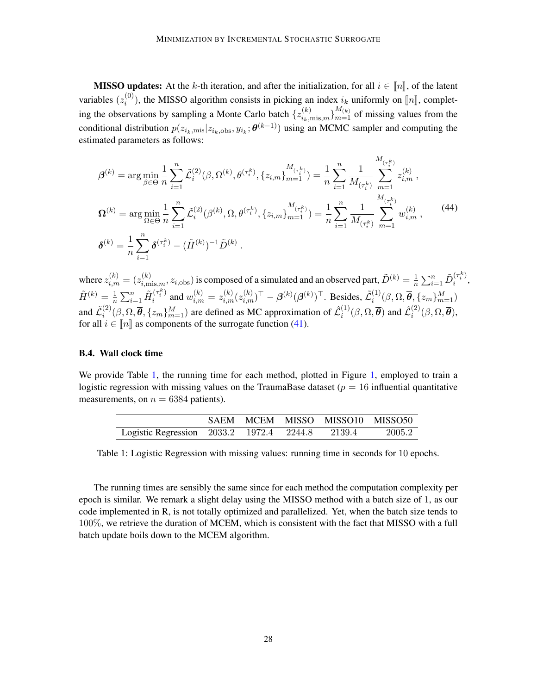**MISSO updates:** At the k-th iteration, and after the initialization, for all  $i \in \llbracket n \rrbracket$ , of the latent variables  $(z_i^{(0)}$ <sup>(0)</sup>), the MISSO algorithm consists in picking an index  $i_k$  uniformly on  $[\![n]\!]$ , completing the observations by sampling a Monte Carlo batch  $\{z_{i_k,\text{mis},m}^{(k)}\}_{m=1}^{M_{(k)}}$  of missing values from the conditional distribution  $p(z_{i_k,\text{mis}}|z_{i_k,\text{obs}}, y_{i_k}; \theta^{(k-1)})$  using an MCMC sampler and computing the estimated parameters as follows:

$$
\beta^{(k)} = \arg \min_{\beta \in \Theta} \frac{1}{n} \sum_{i=1}^{n} \tilde{\mathcal{L}}_{i}^{(2)}(\beta, \Omega^{(k)}, \theta^{(\tau_{i}^{k})}, \{z_{i,m}\}_{m=1}^{M_{(\tau_{i}^{k})}}) = \frac{1}{n} \sum_{i=1}^{n} \frac{1}{M_{(\tau_{i}^{k})}} \sum_{m=1}^{M_{(\tau_{i}^{k})}} z_{i,m}^{(k)},
$$
  
\n
$$
\Omega^{(k)} = \arg \min_{\Omega \in \Theta} \frac{1}{n} \sum_{i=1}^{n} \tilde{\mathcal{L}}_{i}^{(2)}(\beta^{(k)}, \Omega, \theta^{(\tau_{i}^{k})}, \{z_{i,m}\}_{m=1}^{M_{(\tau_{i}^{k})}}) = \frac{1}{n} \sum_{i=1}^{n} \frac{1}{M_{(\tau_{i}^{k})}} \sum_{m=1}^{M_{(\tau_{i}^{k})}} w_{i,m}^{(k)},
$$
(44)  
\n
$$
\delta^{(k)} = \frac{1}{n} \sum_{i=1}^{n} \delta^{(\tau_{i}^{k})} - (\tilde{H}^{(k)})^{-1} \tilde{D}^{(k)}.
$$

where  $z_{i,m}^{(k)}=(z_{i,\text{mis},m}^{(k)},z_{i,\text{obs}})$  is composed of a simulated and an observed part,  $\tilde{D}^{(k)}=\frac{1}{n}$  $\frac{1}{n}\sum_{i=1}^n \tilde{D}_i^{(\tau_i^k)}$  $\frac{1}{i}$ ,  $\tilde{H}^{(k)} = \frac{1}{n}$  $\frac{1}{n}\sum_{i=1}^n \tilde{H}_i^{(\tau_i^k)}$  $i^{(\tau_i^k)}$  and  $w_{i,m}^{(k)} = z_{i,m}^{(k)} (z_{i,m}^{(k)})^\top - \beta^{(k)} (\beta^{(k)})^\top$ . Besides,  $\tilde{\mathcal{L}}_i^{(1)}$  $\bar{\bm{\theta}}_i^{(1)}(\beta, \Omega, \overline{\bm{\theta}}, \{z_m\}_{m=1}^M)$ and  $\tilde{\mathcal{L}}_i^{(2)}$  $\hat{g}^{(2)}_{i}(\beta, \Omega, \overline{\theta}, \{z_m\}_{m=1}^M)$  are defined as MC approximation of  $\hat{\mathcal{L}}_i^{(1)}$  $\hat{\mathcal{L}}_i^{(1)}(\beta,\Omega,\overline{\boldsymbol{\theta}})$  and  $\hat{\mathcal{L}}_i^{(2)}$  $i^{(2)}(\beta,\Omega,\boldsymbol{\theta}),$ for all  $i \in \llbracket n \rrbracket$  as components of the surrogate function [\(41\)](#page-24-3).

#### B.4. Wall clock time

We provide Table [1,](#page-10-0) the running time for each method, plotted in Figure 1, employed to train a logistic regression with missing values on the TraumaBase dataset ( $p = 16$  influential quantitative measurements, on  $n = 6384$  patients).

<span id="page-27-0"></span>

|                                                        |  | SAEM MCEM MISSO MISSO10 MISSO50 |  |
|--------------------------------------------------------|--|---------------------------------|--|
| Logistic Regression 2033.2 1972.4 2244.8 2139.4 2005.2 |  |                                 |  |

Table 1: Logistic Regression with missing values: running time in seconds for 10 epochs.

The running times are sensibly the same since for each method the computation complexity per epoch is similar. We remark a slight delay using the MISSO method with a batch size of 1, as our code implemented in R, is not totally optimized and parallelized. Yet, when the batch size tends to 100%, we retrieve the duration of MCEM, which is consistent with the fact that MISSO with a full batch update boils down to the MCEM algorithm.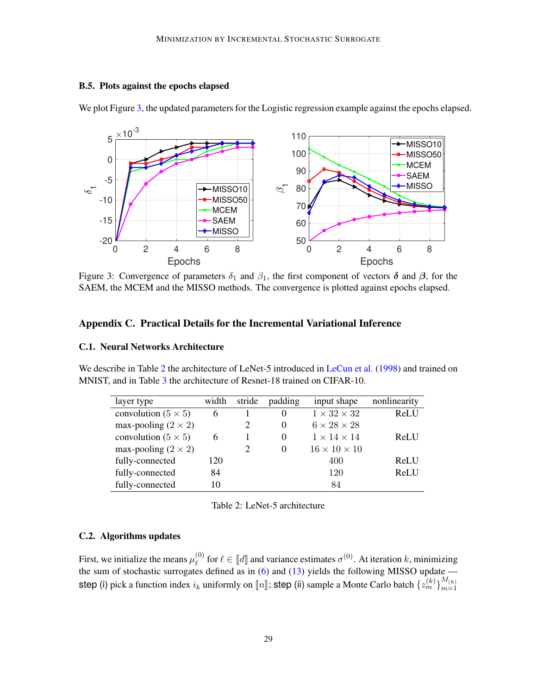# B.5. Plots against the epochs elapsed

<span id="page-28-1"></span>

We plot Figure [3,](#page-28-1) the updated parameters for the Logistic regression example against the epochs elapsed.

Figure 3: Convergence of parameters  $\delta_1$  and  $\beta_1$ , the first component of vectors  $\delta$  and  $\beta$ , for the SAEM, the MCEM and the MISSO methods. The convergence is plotted against epochs elapsed.

# <span id="page-28-0"></span>Appendix C. Practical Details for the Incremental Variational Inference

### C.1. Neural Networks Architecture

<span id="page-28-2"></span>We describe in Table [2](#page-28-2) the architecture of LeNet-5 introduced in [LeCun et al.](#page-13-10) [\(1998\)](#page-13-10) and trained on MNIST, and in Table [3](#page-29-0) the architecture of Resnet-18 trained on CIFAR-10.

| layer type                 | width | stride | padding  | input shape              | nonlinearity |
|----------------------------|-------|--------|----------|--------------------------|--------------|
| convolution $(5 \times 5)$ | 6     |        | $\Omega$ | $1 \times 32 \times 32$  | ReLU         |
| max-pooling $(2 \times 2)$ |       | 2      | $\Omega$ | $6 \times 28 \times 28$  |              |
| convolution $(5 \times 5)$ | 6     |        | 0        | $1 \times 14 \times 14$  | ReLU         |
| max-pooling $(2 \times 2)$ |       |        | $\Omega$ | $16 \times 10 \times 10$ |              |
| fully-connected            | 120   |        |          | 400                      | ReLU         |
| fully-connected            | 84    |        |          | 120                      | ReLU         |
| fully-connected            | 10    |        |          | 84                       |              |

Table 2: LeNet-5 architecture

# C.2. Algorithms updates

First, we initialize the means  $\mu_{\ell}^{(0)}$ <sup>(0)</sup> for  $\ell \in [\![d]\!]$  and variance estimates  $\sigma^{(0)}$ . At iteration k, minimizing  $\alpha$  defined as in (6) and (13) viables the following MISSO undata the sum of stochastic surrogates defined as in [\(6\)](#page-3-4) and [\(13\)](#page-5-4) yields the following MISSO update step (i) pick a function index  $i_k$  uniformly on  $[\![n]\!]$ ; step (ii) sample a Monte Carlo batch  $\{z_m^{(k)}\}_{m=1}^{M_{(k)}}$  $m=1$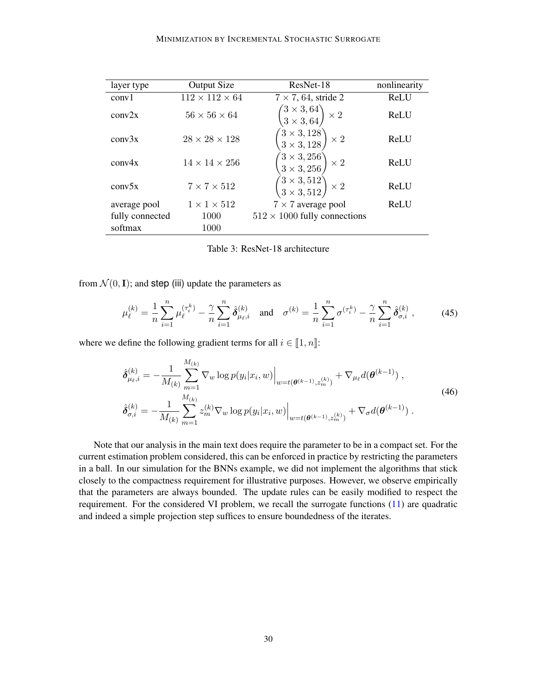<span id="page-29-0"></span>

| layer type      | <b>Output Size</b>         | ResNet-18                                                                                       | nonlinearity |
|-----------------|----------------------------|-------------------------------------------------------------------------------------------------|--------------|
| conv1           | $112 \times 112 \times 64$ | $7 \times 7, 64$ , stride 2                                                                     | ReLU         |
| conv2x          | $56 \times 56 \times 64$   | $\begin{pmatrix} 3 \times 3, 64 \ 3 \times 3, 64 \end{pmatrix}$<br>$\mathsf{l}\times\mathsf{2}$ | ReLU         |
| conv3x          | $28 \times 28 \times 128$  | $(3 \times 3, 128)$<br>$\times$ 2<br>$3 \times 3, 128$                                          | ReLU         |
| conv4x          | $14 \times 14 \times 256$  | $(3 \times 3, 256)$<br>$\times 2$<br>$3 \times 3, 256$                                          | ReLU         |
| conv5x          | $7 \times 7 \times 512$    | $\begin{pmatrix} 3\times3, 512 \ 3\times3, 512 \end{pmatrix}\times2$                            | ReLU         |
| average pool    | $1 \times 1 \times 512$    | $7 \times 7$ average pool                                                                       | ReLU         |
| fully connected | 1000                       | $512 \times 1000$ fully connections                                                             |              |
| softmax         | 1000                       |                                                                                                 |              |

Table 3: ResNet-18 architecture

<span id="page-29-2"></span>from  $\mathcal{N}(0, I)$ ; and step (iii) update the parameters as

$$
\mu_{\ell}^{(k)} = \frac{1}{n} \sum_{i=1}^{n} \mu_{\ell}^{(\tau_i^k)} - \frac{\gamma}{n} \sum_{i=1}^{n} \hat{\delta}_{\mu_{\ell},i}^{(k)} \quad \text{and} \quad \sigma^{(k)} = \frac{1}{n} \sum_{i=1}^{n} \sigma^{(\tau_i^k)} - \frac{\gamma}{n} \sum_{i=1}^{n} \hat{\delta}_{\sigma,i}^{(k)} \,, \tag{45}
$$

<span id="page-29-1"></span>where we define the following gradient terms for all  $i \in [1, n]$ :

$$
\hat{\delta}_{\mu_{\ell},i}^{(k)} = -\frac{1}{M_{(k)}} \sum_{m=1}^{M_{(k)}} \nabla_w \log p(y_i|x_i, w)\Big|_{w=t(\boldsymbol{\theta}^{(k-1)}, z_m^{(k)})} + \nabla_{\mu_{\ell}} d(\boldsymbol{\theta}^{(k-1)}) ,
$$
\n
$$
\hat{\delta}_{\sigma,i}^{(k)} = -\frac{1}{M_{(k)}} \sum_{m=1}^{M_{(k)}} z_m^{(k)} \nabla_w \log p(y_i|x_i, w)\Big|_{w=t(\boldsymbol{\theta}^{(k-1)}, z_m^{(k)})} + \nabla_{\sigma} d(\boldsymbol{\theta}^{(k-1)}) .
$$
\n(46)

Note that our analysis in the main text does require the parameter to be in a compact set. For the current estimation problem considered, this can be enforced in practice by restricting the parameters in a ball. In our simulation for the BNNs example, we did not implement the algorithms that stick closely to the compactness requirement for illustrative purposes. However, we observe empirically that the parameters are always bounded. The update rules can be easily modified to respect the requirement. For the considered VI problem, we recall the surrogate functions [\(11\)](#page-5-3) are quadratic and indeed a simple projection step suffices to ensure boundedness of the iterates.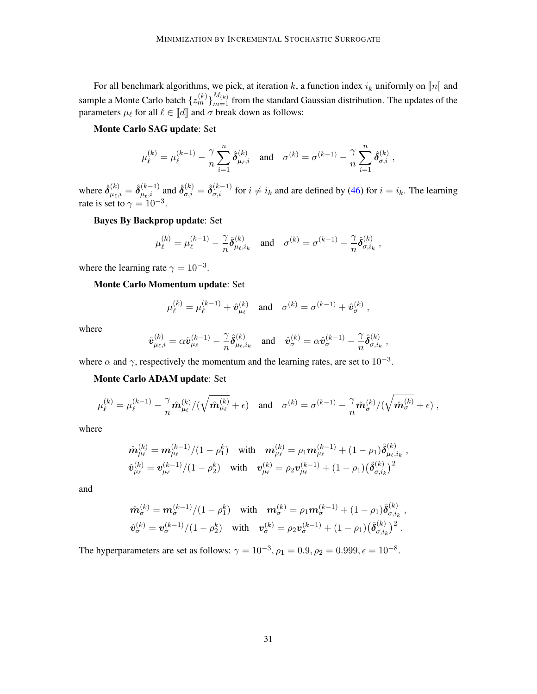For all benchmark algorithms, we pick, at iteration k, a function index  $i_k$  uniformly on  $[n]$  and sample a Monte Carlo batch  $\{z_m^{(k)}\}_{m=1}^{M_{(k)}}$  from the standard Gaussian distribution. The updates of the parameters  $\mu_{\ell}$  for all  $\ell \in [\![d]\!]$  and  $\sigma$  break down as follows:

#### Monte Carlo SAG update: Set

$$
\mu^{(k)}_{\ell} = \mu^{(k-1)}_{\ell} - \frac{\gamma}{n} \sum_{i=1}^n \hat{\delta}^{(k)}_{\mu_{\ell},i} \quad \text{and} \quad \sigma^{(k)} = \sigma^{(k-1)} - \frac{\gamma}{n} \sum_{i=1}^n \hat{\delta}^{(k)}_{\sigma,i} \;,
$$

where  $\hat{\delta}^{(k)}_{\mu_{\ell},i} = \hat{\delta}^{(k-1)}_{\mu_{\ell},i}$  and  $\hat{\delta}^{(k)}_{\sigma,i} = \hat{\delta}^{(k-1)}_{\sigma,i}$  for  $i \neq i_k$  and are defined by [\(46\)](#page-29-1) for  $i = i_k$ . The learning rate is set to  $\gamma = 10^{-3}$ .

Bayes By Backprop update: Set

$$
\mu_\ell^{(k)} = \mu_\ell^{(k-1)} - \frac{\gamma}{n} \hat{\delta}_{\mu_\ell, i_k}^{(k)} \quad \text{and} \quad \sigma^{(k)} = \sigma^{(k-1)} - \frac{\gamma}{n} \hat{\delta}_{\sigma, i_k}^{(k)} \;,
$$

where the learning rate  $\gamma = 10^{-3}$ .

Monte Carlo Momentum update: Set

$$
\mu_{\ell}^{(k)} = \mu_{\ell}^{(k-1)} + \hat{v}_{\mu_{\ell}}^{(k)}
$$
 and  $\sigma^{(k)} = \sigma^{(k-1)} + \hat{v}_{\sigma}^{(k)}$ ,

where

$$
\hat{\boldsymbol{v}}_{\mu_\ell,i}^{(k)} = \alpha \hat{\boldsymbol{v}}_{\mu_\ell}^{(k-1)} - \frac{\gamma}{n} \hat{\boldsymbol{\delta}}_{\mu_\ell,i_k}^{(k)} \quad \text{and} \quad \hat{\boldsymbol{v}}_{\sigma}^{(k)} = \alpha \hat{\boldsymbol{v}}_{\sigma}^{(k-1)} - \frac{\gamma}{n} \hat{\boldsymbol{\delta}}_{\sigma,i_k}^{(k)}~,
$$

where  $\alpha$  and  $\gamma$ , respectively the momentum and the learning rates, are set to  $10^{-3}$ .

Monte Carlo ADAM update: Set

$$
\mu_\ell^{(k)} = \mu_\ell^{(k-1)} - \frac{\gamma}{n} \hat{\boldsymbol{m}}_{\mu_\ell}^{(k)}/(\sqrt{\hat{\boldsymbol{m}}_{\mu_\ell}^{(k)}} + \epsilon) \quad \text{and} \quad \sigma^{(k)} = \sigma^{(k-1)} - \frac{\gamma}{n} \hat{\boldsymbol{m}}_\sigma^{(k)}/(\sqrt{\hat{\boldsymbol{m}}_\sigma^{(k)}} + \epsilon) ,
$$

where

$$
\hat{\boldsymbol{m}}_{\mu_\ell}^{(k)} = \boldsymbol{m}_{\mu_\ell}^{(k-1)}/(1-\rho_1^k) \quad \text{with} \quad \boldsymbol{m}_{\mu_\ell}^{(k)} = \rho_1 \boldsymbol{m}_{\mu_\ell}^{(k-1)} + (1-\rho_1) \hat{\boldsymbol{\delta}}_{\mu_\ell, i_k}^{(k)}~,\\ \hat{\boldsymbol{v}}_{\mu_\ell}^{(k)} = \boldsymbol{v}_{\mu_\ell}^{(k-1)}/(1-\rho_2^k) \quad \text{with} \quad \boldsymbol{v}_{\mu_\ell}^{(k)} = \rho_2 \boldsymbol{v}_{\mu_\ell}^{(k-1)} + (1-\rho_1) \bigl(\hat{\boldsymbol{\delta}}_{\sigma,i_k}^{(k)}\bigr)^2
$$

and

$$
\hat{\boldsymbol{m}}_{\sigma}^{(k)} = \boldsymbol{m}_{\sigma}^{(k-1)}/(1-\rho_1^k) \quad \text{with} \quad \boldsymbol{m}_{\sigma}^{(k)} = \rho_1 \boldsymbol{m}_{\sigma}^{(k-1)} + (1-\rho_1) \hat{\boldsymbol{\delta}}_{\sigma,i_k}^{(k)},
$$
\n
$$
\hat{\boldsymbol{v}}_{\sigma}^{(k)} = \boldsymbol{v}_{\sigma}^{(k-1)}/(1-\rho_2^k) \quad \text{with} \quad \boldsymbol{v}_{\sigma}^{(k)} = \rho_2 \boldsymbol{v}_{\sigma}^{(k-1)} + (1-\rho_1) (\hat{\boldsymbol{\delta}}_{\sigma,i_k}^{(k)})^2.
$$

The hyperparameters are set as follows:  $\gamma = 10^{-3}$ ,  $\rho_1 = 0.9$ ,  $\rho_2 = 0.999$ ,  $\epsilon = 10^{-8}$ .